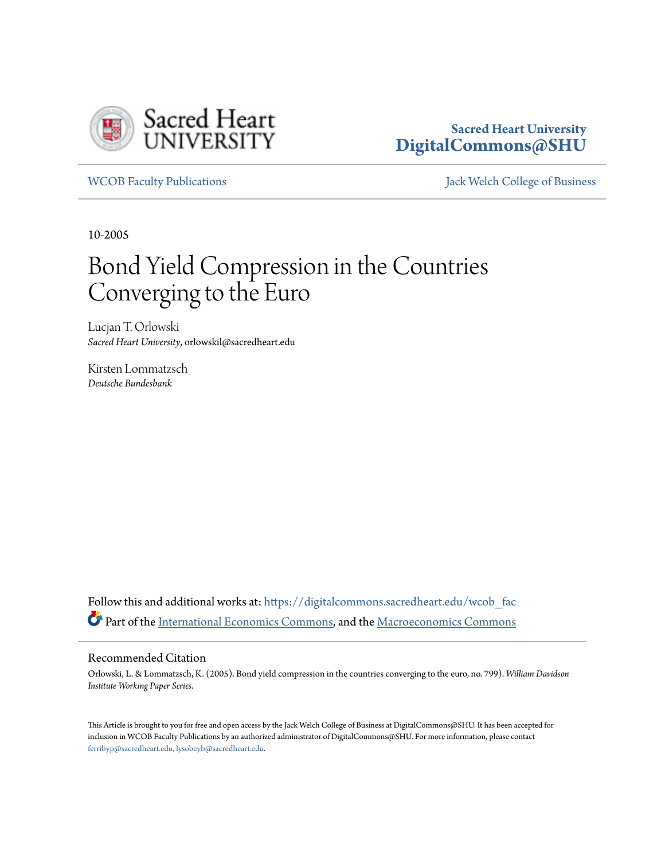

# **Sacred Heart University [DigitalCommons@SHU](https://digitalcommons.sacredheart.edu?utm_source=digitalcommons.sacredheart.edu%2Fwcob_fac%2F69&utm_medium=PDF&utm_campaign=PDFCoverPages)**

[WCOB Faculty Publications](https://digitalcommons.sacredheart.edu/wcob_fac?utm_source=digitalcommons.sacredheart.edu%2Fwcob_fac%2F69&utm_medium=PDF&utm_campaign=PDFCoverPages) [Jack Welch College of Business](https://digitalcommons.sacredheart.edu/wcob?utm_source=digitalcommons.sacredheart.edu%2Fwcob_fac%2F69&utm_medium=PDF&utm_campaign=PDFCoverPages)

10-2005

# Bond Yield Compression in the Countries Converging to the Euro

Lucjan T. Orlowski *Sacred Heart University*, orlowskil@sacredheart.edu

Kirsten Lommatzsch *Deutsche Bundesbank*

Follow this and additional works at: [https://digitalcommons.sacredheart.edu/wcob\\_fac](https://digitalcommons.sacredheart.edu/wcob_fac?utm_source=digitalcommons.sacredheart.edu%2Fwcob_fac%2F69&utm_medium=PDF&utm_campaign=PDFCoverPages) Part of the [International Economics Commons,](http://network.bepress.com/hgg/discipline/348?utm_source=digitalcommons.sacredheart.edu%2Fwcob_fac%2F69&utm_medium=PDF&utm_campaign=PDFCoverPages) and the [Macroeconomics Commons](http://network.bepress.com/hgg/discipline/350?utm_source=digitalcommons.sacredheart.edu%2Fwcob_fac%2F69&utm_medium=PDF&utm_campaign=PDFCoverPages)

#### Recommended Citation

Orlowski, L. & Lommatzsch, K. (2005). Bond yield compression in the countries converging to the euro*,* no. 799). *William Davidson Institute Working Paper Series*.

This Article is brought to you for free and open access by the Jack Welch College of Business at DigitalCommons@SHU. It has been accepted for inclusion in WCOB Faculty Publications by an authorized administrator of DigitalCommons@SHU. For more information, please contact [ferribyp@sacredheart.edu, lysobeyb@sacredheart.edu.](mailto:ferribyp@sacredheart.edu,%20lysobeyb@sacredheart.edu)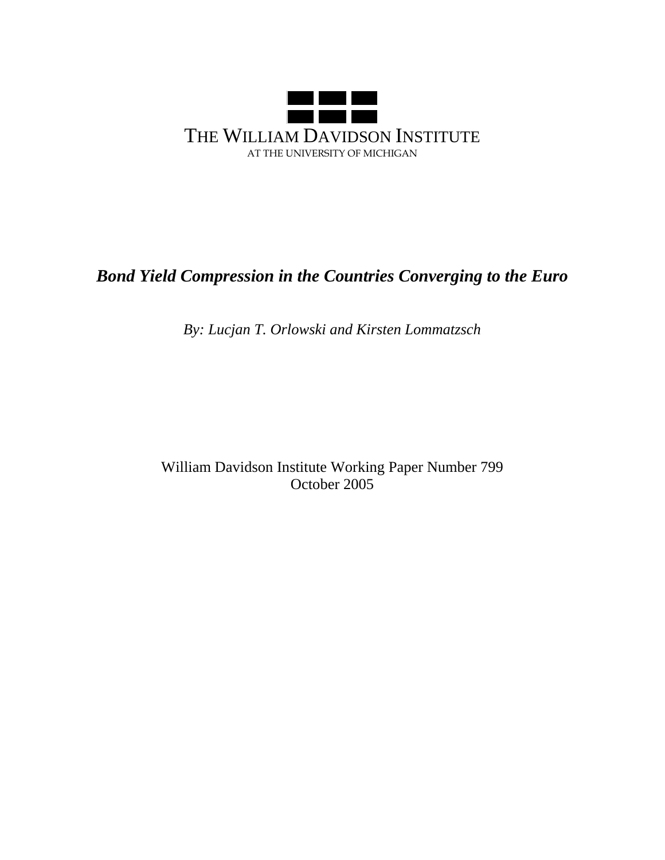

# *Bond Yield Compression in the Countries Converging to the Euro*

*By: Lucjan T. Orlowski and Kirsten Lommatzsch*

William Davidson Institute Working Paper Number 799 October 2005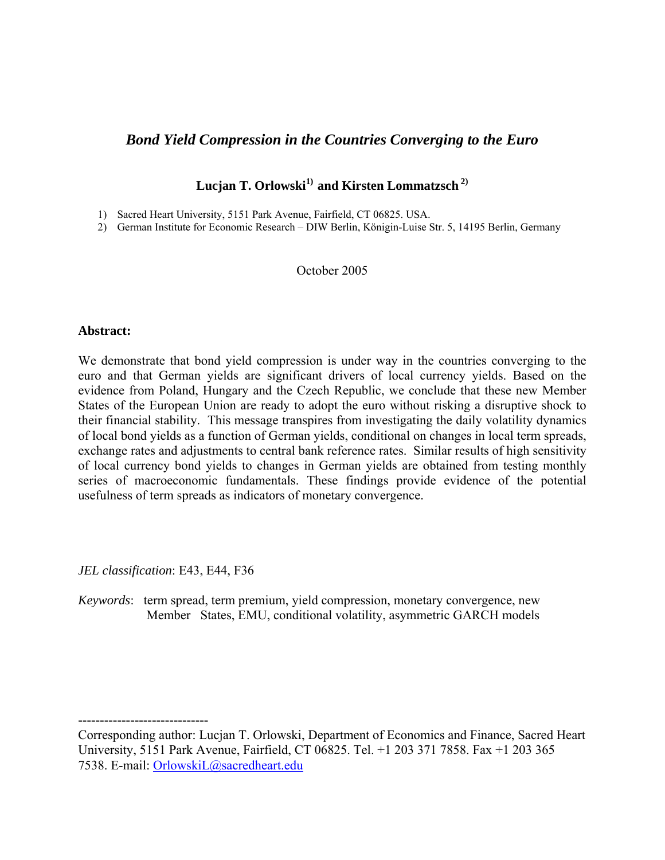# *Bond Yield Compression in the Countries Converging to the Euro*

# **Lucjan T. Orlowski1) and Kirsten Lommatzsch 2)**

- 1) Sacred Heart University, 5151 Park Avenue, Fairfield, CT 06825. USA.
- 2) German Institute for Economic Research DIW Berlin, Königin-Luise Str. 5, 14195 Berlin, Germany

# October 2005

# **Abstract:**

We demonstrate that bond yield compression is under way in the countries converging to the euro and that German yields are significant drivers of local currency yields. Based on the evidence from Poland, Hungary and the Czech Republic, we conclude that these new Member States of the European Union are ready to adopt the euro without risking a disruptive shock to their financial stability. This message transpires from investigating the daily volatility dynamics of local bond yields as a function of German yields, conditional on changes in local term spreads, exchange rates and adjustments to central bank reference rates. Similar results of high sensitivity of local currency bond yields to changes in German yields are obtained from testing monthly series of macroeconomic fundamentals. These findings provide evidence of the potential usefulness of term spreads as indicators of monetary convergence.

*JEL classification*: E43, E44, F36

**------------------------------**

*Keywords*: term spread, term premium, yield compression, monetary convergence, new Member States, EMU, conditional volatility, asymmetric GARCH models

Corresponding author: Lucjan T. Orlowski, Department of Economics and Finance, Sacred Heart University, 5151 Park Avenue, Fairfield, CT 06825. Tel. +1 203 371 7858. Fax +1 203 365 7538. E-mail: OrlowskiL@sacredheart.edu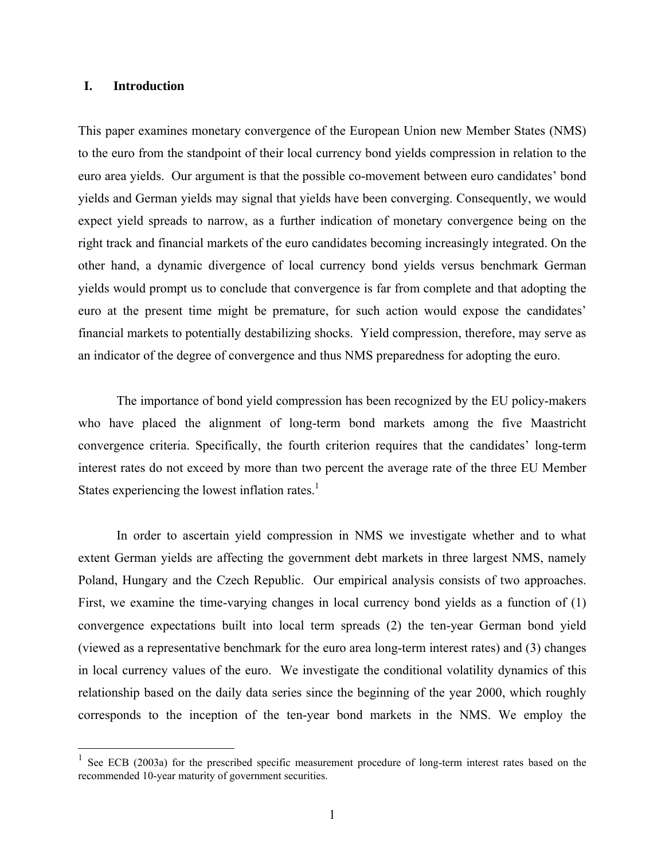# **I. Introduction**

 $\overline{a}$ 

This paper examines monetary convergence of the European Union new Member States (NMS) to the euro from the standpoint of their local currency bond yields compression in relation to the euro area yields. Our argument is that the possible co-movement between euro candidates' bond yields and German yields may signal that yields have been converging. Consequently, we would expect yield spreads to narrow, as a further indication of monetary convergence being on the right track and financial markets of the euro candidates becoming increasingly integrated. On the other hand, a dynamic divergence of local currency bond yields versus benchmark German yields would prompt us to conclude that convergence is far from complete and that adopting the euro at the present time might be premature, for such action would expose the candidates' financial markets to potentially destabilizing shocks. Yield compression, therefore, may serve as an indicator of the degree of convergence and thus NMS preparedness for adopting the euro.

 The importance of bond yield compression has been recognized by the EU policy-makers who have placed the alignment of long-term bond markets among the five Maastricht convergence criteria. Specifically, the fourth criterion requires that the candidates' long-term interest rates do not exceed by more than two percent the average rate of the three EU Member States experiencing the lowest inflation rates. $<sup>1</sup>$ </sup>

 In order to ascertain yield compression in NMS we investigate whether and to what extent German yields are affecting the government debt markets in three largest NMS, namely Poland, Hungary and the Czech Republic. Our empirical analysis consists of two approaches. First, we examine the time-varying changes in local currency bond yields as a function of (1) convergence expectations built into local term spreads (2) the ten-year German bond yield (viewed as a representative benchmark for the euro area long-term interest rates) and (3) changes in local currency values of the euro. We investigate the conditional volatility dynamics of this relationship based on the daily data series since the beginning of the year 2000, which roughly corresponds to the inception of the ten-year bond markets in the NMS. We employ the

 $1$  See ECB (2003a) for the prescribed specific measurement procedure of long-term interest rates based on the recommended 10-year maturity of government securities.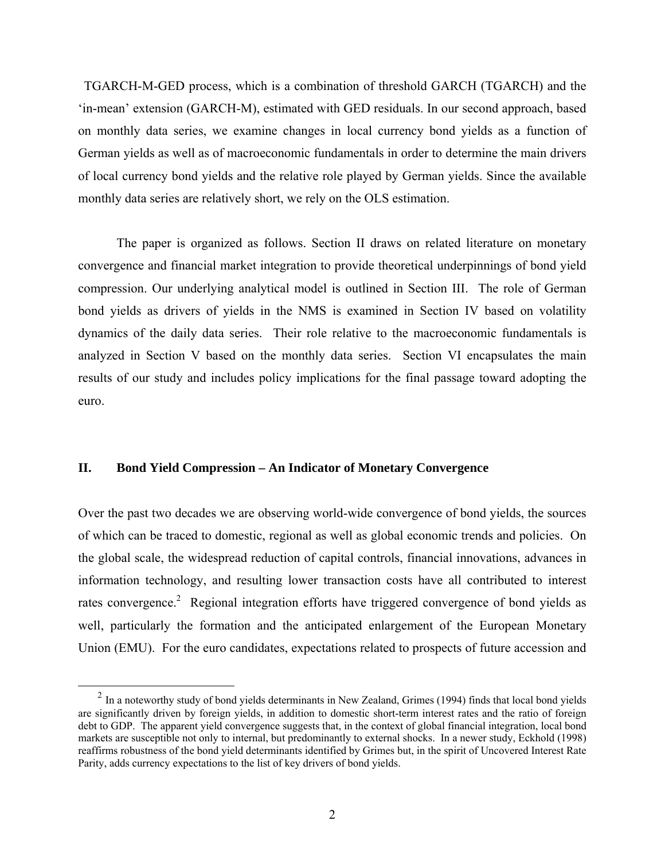TGARCH-M-GED process, which is a combination of threshold GARCH (TGARCH) and the 'in-mean' extension (GARCH-M), estimated with GED residuals. In our second approach, based on monthly data series, we examine changes in local currency bond yields as a function of German yields as well as of macroeconomic fundamentals in order to determine the main drivers of local currency bond yields and the relative role played by German yields. Since the available monthly data series are relatively short, we rely on the OLS estimation.

 The paper is organized as follows. Section II draws on related literature on monetary convergence and financial market integration to provide theoretical underpinnings of bond yield compression. Our underlying analytical model is outlined in Section III. The role of German bond yields as drivers of yields in the NMS is examined in Section IV based on volatility dynamics of the daily data series. Their role relative to the macroeconomic fundamentals is analyzed in Section V based on the monthly data series. Section VI encapsulates the main results of our study and includes policy implications for the final passage toward adopting the euro.

# **II. Bond Yield Compression – An Indicator of Monetary Convergence**

Over the past two decades we are observing world-wide convergence of bond yields, the sources of which can be traced to domestic, regional as well as global economic trends and policies. On the global scale, the widespread reduction of capital controls, financial innovations, advances in information technology, and resulting lower transaction costs have all contributed to interest rates convergence.<sup>2</sup> Regional integration efforts have triggered convergence of bond yields as well, particularly the formation and the anticipated enlargement of the European Monetary Union (EMU). For the euro candidates, expectations related to prospects of future accession and

 $2$  In a noteworthy study of bond yields determinants in New Zealand, Grimes (1994) finds that local bond yields are significantly driven by foreign yields, in addition to domestic short-term interest rates and the ratio of foreign debt to GDP. The apparent yield convergence suggests that, in the context of global financial integration, local bond markets are susceptible not only to internal, but predominantly to external shocks. In a newer study, Eckhold (1998) reaffirms robustness of the bond yield determinants identified by Grimes but, in the spirit of Uncovered Interest Rate Parity, adds currency expectations to the list of key drivers of bond yields.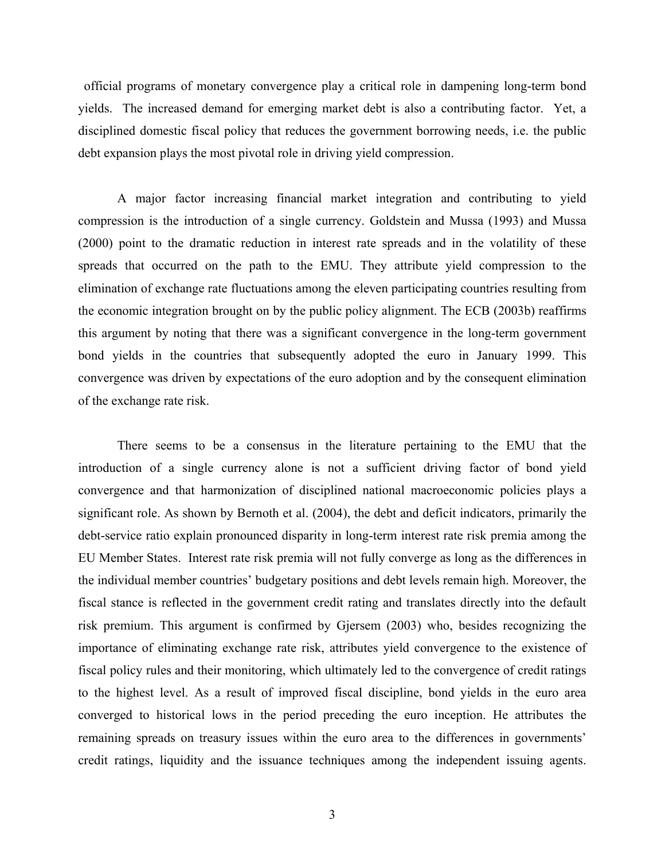official programs of monetary convergence play a critical role in dampening long-term bond yields. The increased demand for emerging market debt is also a contributing factor. Yet, a disciplined domestic fiscal policy that reduces the government borrowing needs, i.e. the public debt expansion plays the most pivotal role in driving yield compression.

A major factor increasing financial market integration and contributing to yield compression is the introduction of a single currency. Goldstein and Mussa (1993) and Mussa (2000) point to the dramatic reduction in interest rate spreads and in the volatility of these spreads that occurred on the path to the EMU. They attribute yield compression to the elimination of exchange rate fluctuations among the eleven participating countries resulting from the economic integration brought on by the public policy alignment. The ECB (2003b) reaffirms this argument by noting that there was a significant convergence in the long-term government bond yields in the countries that subsequently adopted the euro in January 1999. This convergence was driven by expectations of the euro adoption and by the consequent elimination of the exchange rate risk.

There seems to be a consensus in the literature pertaining to the EMU that the introduction of a single currency alone is not a sufficient driving factor of bond yield convergence and that harmonization of disciplined national macroeconomic policies plays a significant role. As shown by Bernoth et al. (2004), the debt and deficit indicators, primarily the debt-service ratio explain pronounced disparity in long-term interest rate risk premia among the EU Member States. Interest rate risk premia will not fully converge as long as the differences in the individual member countries' budgetary positions and debt levels remain high. Moreover, the fiscal stance is reflected in the government credit rating and translates directly into the default risk premium. This argument is confirmed by Gjersem (2003) who, besides recognizing the importance of eliminating exchange rate risk, attributes yield convergence to the existence of fiscal policy rules and their monitoring, which ultimately led to the convergence of credit ratings to the highest level. As a result of improved fiscal discipline, bond yields in the euro area converged to historical lows in the period preceding the euro inception. He attributes the remaining spreads on treasury issues within the euro area to the differences in governments' credit ratings, liquidity and the issuance techniques among the independent issuing agents.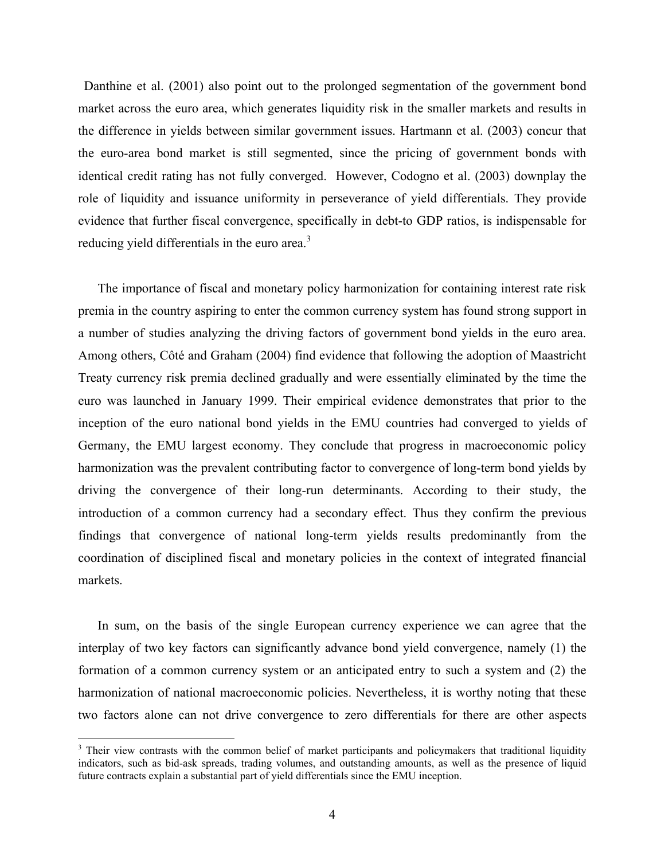Danthine et al. (2001) also point out to the prolonged segmentation of the government bond market across the euro area, which generates liquidity risk in the smaller markets and results in the difference in yields between similar government issues. Hartmann et al. (2003) concur that the euro-area bond market is still segmented, since the pricing of government bonds with identical credit rating has not fully converged. However, Codogno et al. (2003) downplay the role of liquidity and issuance uniformity in perseverance of yield differentials. They provide evidence that further fiscal convergence, specifically in debt-to GDP ratios, is indispensable for reducing yield differentials in the euro area.<sup>3</sup>

The importance of fiscal and monetary policy harmonization for containing interest rate risk premia in the country aspiring to enter the common currency system has found strong support in a number of studies analyzing the driving factors of government bond yields in the euro area. Among others, Côté and Graham (2004) find evidence that following the adoption of Maastricht Treaty currency risk premia declined gradually and were essentially eliminated by the time the euro was launched in January 1999. Their empirical evidence demonstrates that prior to the inception of the euro national bond yields in the EMU countries had converged to yields of Germany, the EMU largest economy. They conclude that progress in macroeconomic policy harmonization was the prevalent contributing factor to convergence of long-term bond yields by driving the convergence of their long-run determinants. According to their study, the introduction of a common currency had a secondary effect. Thus they confirm the previous findings that convergence of national long-term yields results predominantly from the coordination of disciplined fiscal and monetary policies in the context of integrated financial markets.

In sum, on the basis of the single European currency experience we can agree that the interplay of two key factors can significantly advance bond yield convergence, namely (1) the formation of a common currency system or an anticipated entry to such a system and (2) the harmonization of national macroeconomic policies. Nevertheless, it is worthy noting that these two factors alone can not drive convergence to zero differentials for there are other aspects

<sup>&</sup>lt;sup>3</sup> Their view contrasts with the common belief of market participants and policymakers that traditional liquidity indicators, such as bid-ask spreads, trading volumes, and outstanding amounts, as well as the presence of liquid future contracts explain a substantial part of yield differentials since the EMU inception.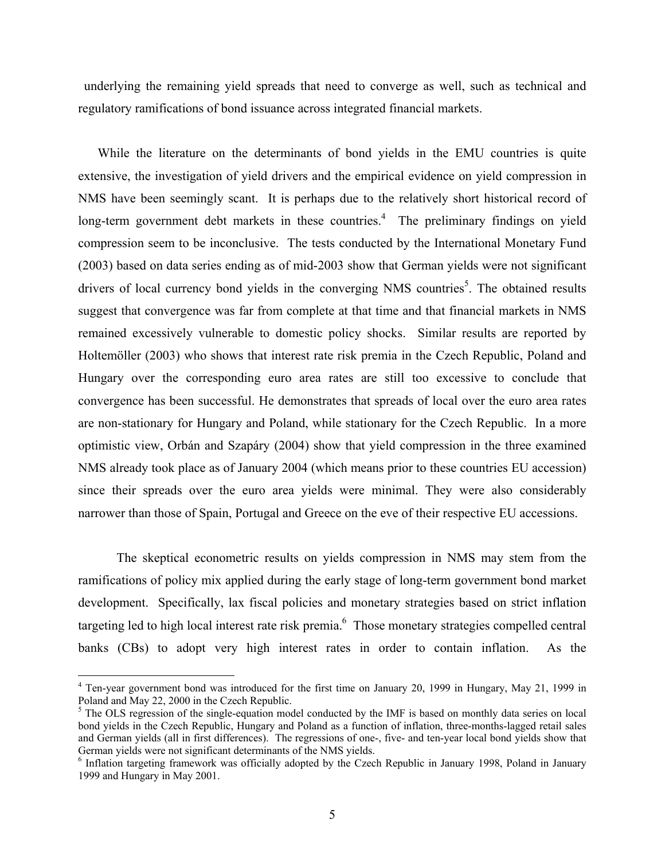underlying the remaining yield spreads that need to converge as well, such as technical and regulatory ramifications of bond issuance across integrated financial markets.

While the literature on the determinants of bond yields in the EMU countries is quite extensive, the investigation of yield drivers and the empirical evidence on yield compression in NMS have been seemingly scant. It is perhaps due to the relatively short historical record of long-term government debt markets in these countries.<sup>4</sup> The preliminary findings on yield compression seem to be inconclusive. The tests conducted by the International Monetary Fund (2003) based on data series ending as of mid-2003 show that German yields were not significant drivers of local currency bond yields in the converging NMS countries<sup>5</sup>. The obtained results suggest that convergence was far from complete at that time and that financial markets in NMS remained excessively vulnerable to domestic policy shocks. Similar results are reported by Holtemöller (2003) who shows that interest rate risk premia in the Czech Republic, Poland and Hungary over the corresponding euro area rates are still too excessive to conclude that convergence has been successful. He demonstrates that spreads of local over the euro area rates are non-stationary for Hungary and Poland, while stationary for the Czech Republic. In a more optimistic view, Orbán and Szapáry (2004) show that yield compression in the three examined NMS already took place as of January 2004 (which means prior to these countries EU accession) since their spreads over the euro area yields were minimal. They were also considerably narrower than those of Spain, Portugal and Greece on the eve of their respective EU accessions.

 The skeptical econometric results on yields compression in NMS may stem from the ramifications of policy mix applied during the early stage of long-term government bond market development. Specifically, lax fiscal policies and monetary strategies based on strict inflation targeting led to high local interest rate risk premia. $<sup>6</sup>$  Those monetary strategies compelled central</sup> banks (CBs) to adopt very high interest rates in order to contain inflation. As the

<sup>&</sup>lt;sup>4</sup> Ten-year government bond was introduced for the first time on January 20, 1999 in Hungary, May 21, 1999 in Poland and May 22, 2000 in the Czech Republic.

<sup>&</sup>lt;sup>5</sup> The OLS regression of the single-equation model conducted by the IMF is based on monthly data series on local bond yields in the Czech Republic, Hungary and Poland as a function of inflation, three-months-lagged retail sales and German yields (all in first differences). The regressions of one-, five- and ten-year local bond yields show that German yields were not significant determinants of the NMS yields.

<sup>&</sup>lt;sup>6</sup> Inflation targeting framework was officially adopted by the Czech Republic in January 1998, Poland in January 1999 and Hungary in May 2001.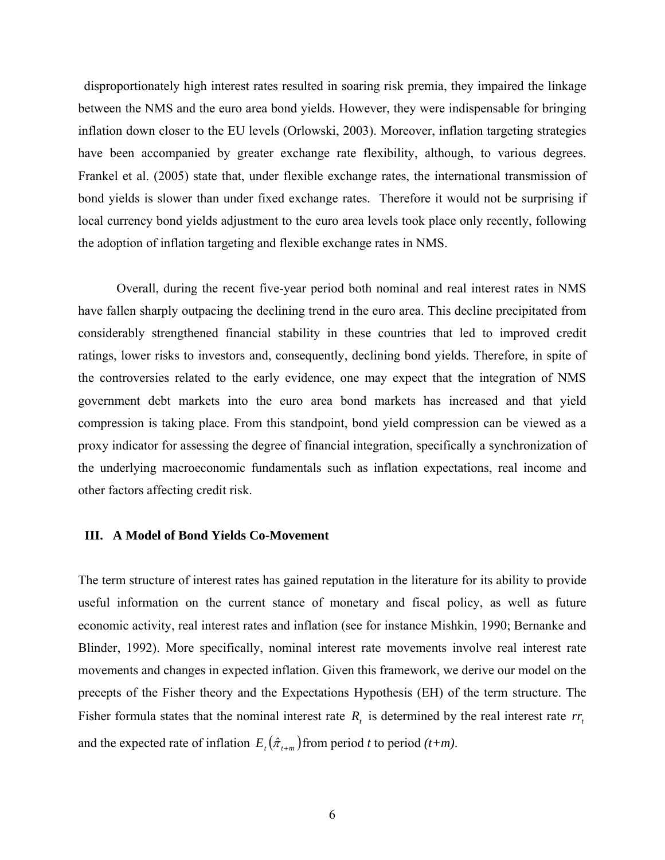disproportionately high interest rates resulted in soaring risk premia, they impaired the linkage between the NMS and the euro area bond yields. However, they were indispensable for bringing inflation down closer to the EU levels (Orlowski, 2003). Moreover, inflation targeting strategies have been accompanied by greater exchange rate flexibility, although, to various degrees. Frankel et al. (2005) state that, under flexible exchange rates, the international transmission of bond yields is slower than under fixed exchange rates. Therefore it would not be surprising if local currency bond yields adjustment to the euro area levels took place only recently, following the adoption of inflation targeting and flexible exchange rates in NMS.

 Overall, during the recent five-year period both nominal and real interest rates in NMS have fallen sharply outpacing the declining trend in the euro area. This decline precipitated from considerably strengthened financial stability in these countries that led to improved credit ratings, lower risks to investors and, consequently, declining bond yields. Therefore, in spite of the controversies related to the early evidence, one may expect that the integration of NMS government debt markets into the euro area bond markets has increased and that yield compression is taking place. From this standpoint, bond yield compression can be viewed as a proxy indicator for assessing the degree of financial integration, specifically a synchronization of the underlying macroeconomic fundamentals such as inflation expectations, real income and other factors affecting credit risk.

### **III. A Model of Bond Yields Co-Movement**

The term structure of interest rates has gained reputation in the literature for its ability to provide useful information on the current stance of monetary and fiscal policy, as well as future economic activity, real interest rates and inflation (see for instance Mishkin, 1990; Bernanke and Blinder, 1992). More specifically, nominal interest rate movements involve real interest rate movements and changes in expected inflation. Given this framework, we derive our model on the precepts of the Fisher theory and the Expectations Hypothesis (EH) of the term structure. The Fisher formula states that the nominal interest rate  $R_t$  is determined by the real interest rate  $rr_t$ and the expected rate of inflation  $E_t(\hat{\pi}_{t+m})$  from period *t* to period (*t+m*).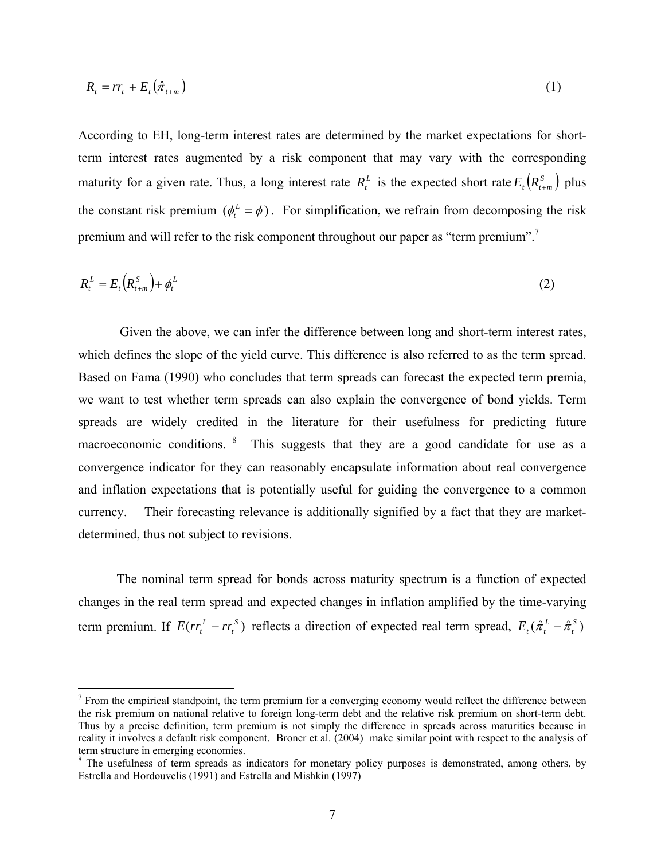$$
R_t = rr_t + E_t(\hat{\pi}_{t+m})
$$
\n(1)

According to EH, long-term interest rates are determined by the market expectations for shortterm interest rates augmented by a risk component that may vary with the corresponding maturity for a given rate. Thus, a long interest rate  $R_t^L$  is the expected short rate  $E_t(R_{t+m}^S)$  plus the constant risk premium  $(\phi_t^L = \overline{\phi})$ . For simplification, we refrain from decomposing the risk premium and will refer to the risk component throughout our paper as "term premium".7

$$
R_t^L = E_t(R_{t+m}^S) + \phi_t^L
$$
\n<sup>(2)</sup>

 Given the above, we can infer the difference between long and short-term interest rates, which defines the slope of the yield curve. This difference is also referred to as the term spread. Based on Fama (1990) who concludes that term spreads can forecast the expected term premia, we want to test whether term spreads can also explain the convergence of bond yields. Term spreads are widely credited in the literature for their usefulness for predicting future macroeconomic conditions. <sup>8</sup> This suggests that they are a good candidate for use as a convergence indicator for they can reasonably encapsulate information about real convergence and inflation expectations that is potentially useful for guiding the convergence to a common currency. Their forecasting relevance is additionally signified by a fact that they are marketdetermined, thus not subject to revisions.

The nominal term spread for bonds across maturity spectrum is a function of expected changes in the real term spread and expected changes in inflation amplified by the time-varying term premium. If  $E(r_r^L - rr_i^S)$  $E(r r_t^L - r r_t^S)$  reflects a direction of expected real term spread,  $E_t(\hat{\pi}_t^L - \hat{\pi}_t^S)$ 

 $<sup>7</sup>$  From the empirical standpoint, the term premium for a converging economy would reflect the difference between</sup> the risk premium on national relative to foreign long-term debt and the relative risk premium on short-term debt. Thus by a precise definition, term premium is not simply the difference in spreads across maturities because in reality it involves a default risk component. Broner et al. (2004) make similar point with respect to the analysis of term structure in emerging economies.

<sup>&</sup>lt;sup>8</sup> The usefulness of term spreads as indicators for monetary policy purposes is demonstrated, among others, by Estrella and Hordouvelis (1991) and Estrella and Mishkin (1997)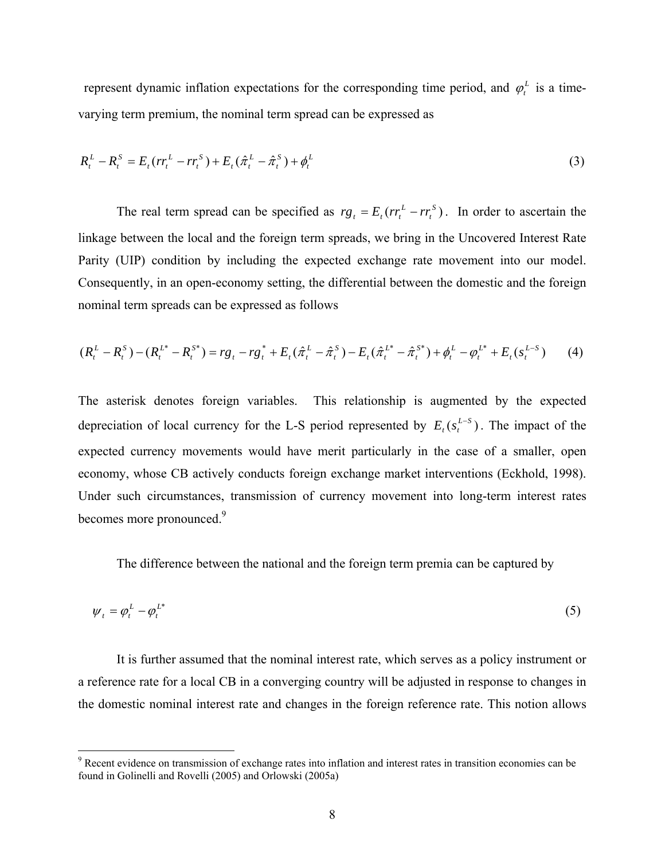represent dynamic inflation expectations for the corresponding time period, and  $\varphi_t^L$  is a timevarying term premium, the nominal term spread can be expressed as

$$
R_t^L - R_t^S = E_t (r r_t^L - r r_t^S) + E_t (\hat{\pi}_t^L - \hat{\pi}_t^S) + \phi_t^L
$$
\n(3)

The real term spread can be specified as  $rg_t = E_t ( rr_t^L - rr_i^S)$  $r g_t = E_t (r r_t^L - r r_t^S)$ . In order to ascertain the linkage between the local and the foreign term spreads, we bring in the Uncovered Interest Rate Parity (UIP) condition by including the expected exchange rate movement into our model. Consequently, in an open-economy setting, the differential between the domestic and the foreign nominal term spreads can be expressed as follows

$$
(R_t^L - R_t^S) - (R_t^{L^*} - R_t^{S^*}) = rg_t - rg_t^* + E_t(\hat{\pi}_t^L - \hat{\pi}_t^S) - E_t(\hat{\pi}_t^{L^*} - \hat{\pi}_t^{S^*}) + \phi_t^L - \phi_t^{L^*} + E_t(s_t^{L-S})
$$
(4)

The asterisk denotes foreign variables. This relationship is augmented by the expected depreciation of local currency for the L-S period represented by  $E_t(s_t^{L-S})$ . The impact of the expected currency movements would have merit particularly in the case of a smaller, open economy, whose CB actively conducts foreign exchange market interventions (Eckhold, 1998). Under such circumstances, transmission of currency movement into long-term interest rates becomes more pronounced.<sup>9</sup>

The difference between the national and the foreign term premia can be captured by

$$
\psi_t = \varphi_t^L - \varphi_t^{L^*} \tag{5}
$$

 It is further assumed that the nominal interest rate, which serves as a policy instrument or a reference rate for a local CB in a converging country will be adjusted in response to changes in the domestic nominal interest rate and changes in the foreign reference rate. This notion allows

<sup>&</sup>lt;sup>9</sup> Recent evidence on transmission of exchange rates into inflation and interest rates in transition economies can be found in Golinelli and Rovelli (2005) and Orlowski (2005a)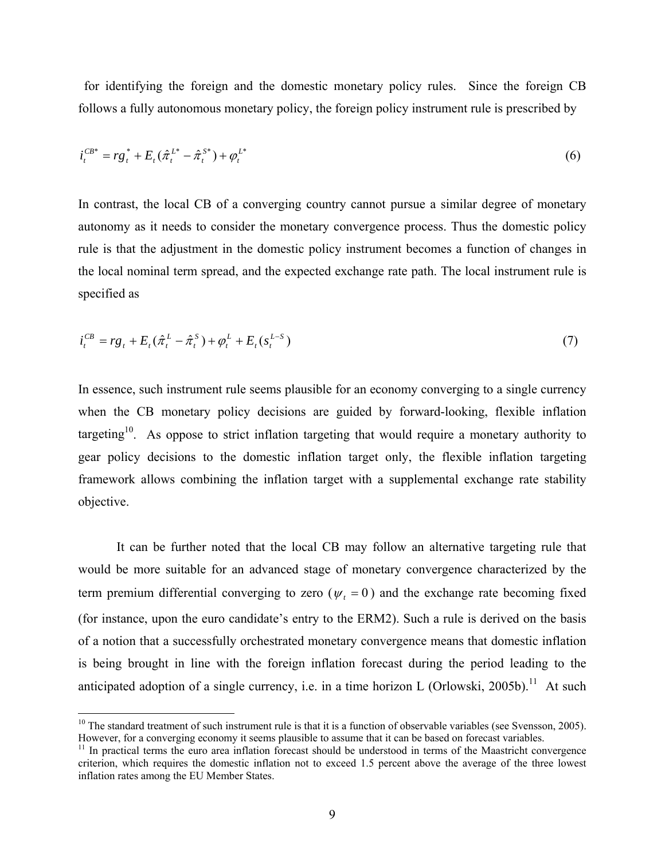for identifying the foreign and the domestic monetary policy rules. Since the foreign CB follows a fully autonomous monetary policy, the foreign policy instrument rule is prescribed by

$$
i_t^{CB^*} = rg_t^* + E_t(\hat{\pi}_t^{L^*} - \hat{\pi}_t^{S^*}) + \varphi_t^{L^*}
$$
\n(6)

In contrast, the local CB of a converging country cannot pursue a similar degree of monetary autonomy as it needs to consider the monetary convergence process. Thus the domestic policy rule is that the adjustment in the domestic policy instrument becomes a function of changes in the local nominal term spread, and the expected exchange rate path. The local instrument rule is specified as

$$
i_t^{CB} = rg_t + E_t(\hat{\pi}_t^L - \hat{\pi}_t^S) + \varphi_t^L + E_t(s_t^{L-S})
$$
\n(7)

In essence, such instrument rule seems plausible for an economy converging to a single currency when the CB monetary policy decisions are guided by forward-looking, flexible inflation targeting<sup>10</sup>. As oppose to strict inflation targeting that would require a monetary authority to gear policy decisions to the domestic inflation target only, the flexible inflation targeting framework allows combining the inflation target with a supplemental exchange rate stability objective.

It can be further noted that the local CB may follow an alternative targeting rule that would be more suitable for an advanced stage of monetary convergence characterized by the term premium differential converging to zero ( $\psi_t = 0$ ) and the exchange rate becoming fixed (for instance, upon the euro candidate's entry to the ERM2). Such a rule is derived on the basis of a notion that a successfully orchestrated monetary convergence means that domestic inflation is being brought in line with the foreign inflation forecast during the period leading to the anticipated adoption of a single currency, i.e. in a time horizon L (Orlowski, 2005b).<sup>11</sup> At such

 $10$  The standard treatment of such instrument rule is that it is a function of observable variables (see Svensson, 2005). However, for a converging economy it seems plausible to assume that it can be based on forecast variables.<br><sup>11</sup> In practical terms the euro area inflation forecast should be understood in terms of the Maastricht convergenc

criterion, which requires the domestic inflation not to exceed 1.5 percent above the average of the three lowest inflation rates among the EU Member States.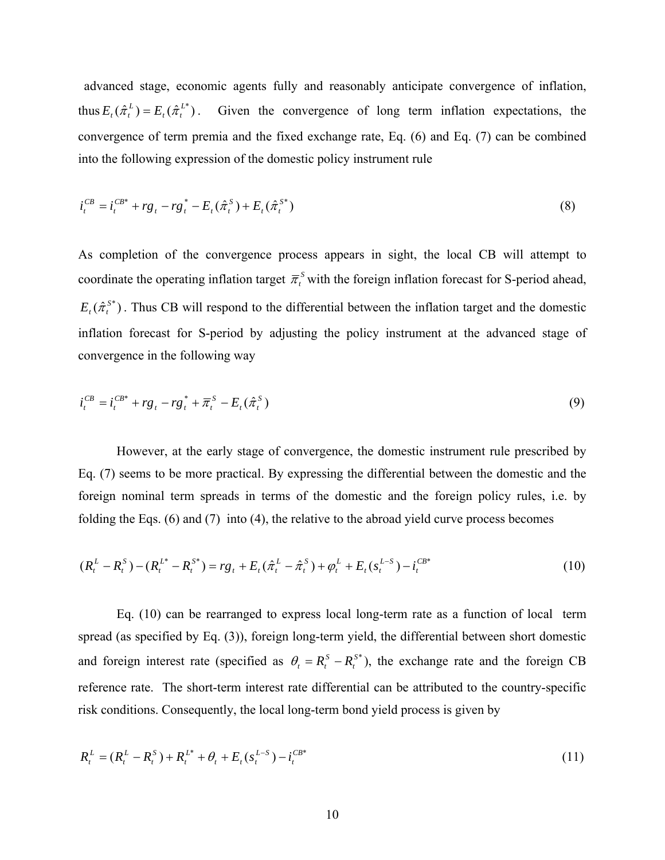advanced stage, economic agents fully and reasonably anticipate convergence of inflation, thus  $E_t(\hat{\pi}_t^L) = E_t(\hat{\pi}_t^{L^*})$ . Given the convergence of long term inflation expectations, the convergence of term premia and the fixed exchange rate, Eq. (6) and Eq. (7) can be combined into the following expression of the domestic policy instrument rule

$$
i_t^{CB} = i_t^{CB^*} + rg_t - rg_t^* - E_t(\hat{\pi}_t^S) + E_t(\hat{\pi}_t^{S^*})
$$
\n(8)

As completion of the convergence process appears in sight, the local CB will attempt to coordinate the operating inflation target  $\bar{\pi}^s_t$  with the foreign inflation forecast for S-period ahead,  $E_{t}(\hat{\pi}_{t}^{s*})$ . Thus CB will respond to the differential between the inflation target and the domestic inflation forecast for S-period by adjusting the policy instrument at the advanced stage of convergence in the following way

$$
i_t^{CB} = i_t^{CB^*} + rg_t - rg_t^* + \overline{\pi}_t^S - E_t(\hat{\pi}_t^S)
$$
\n(9)

 However, at the early stage of convergence, the domestic instrument rule prescribed by Eq. (7) seems to be more practical. By expressing the differential between the domestic and the foreign nominal term spreads in terms of the domestic and the foreign policy rules, i.e. by folding the Eqs. (6) and (7) into (4), the relative to the abroad yield curve process becomes

$$
(R_t^L - R_t^S) - (R_t^{L^*} - R_t^{S^*}) = rg_t + E_t(\hat{\pi}_t^L - \hat{\pi}_t^S) + \varphi_t^L + E_t(s_t^{L-S}) - i_t^{CB^*}
$$
\n
$$
(10)
$$

 Eq. (10) can be rearranged to express local long-term rate as a function of local term spread (as specified by Eq. (3)), foreign long-term yield, the differential between short domestic and foreign interest rate (specified as  $\theta_t = R_t^S - R_t^{S^*}$ ), the exchange rate and the foreign CB reference rate. The short-term interest rate differential can be attributed to the country-specific risk conditions. Consequently, the local long-term bond yield process is given by

$$
R_t^L = (R_t^L - R_t^S) + R_t^{L^*} + \theta_t + E_t (s_t^{L-S}) - i_t^{CB*}
$$
\n(11)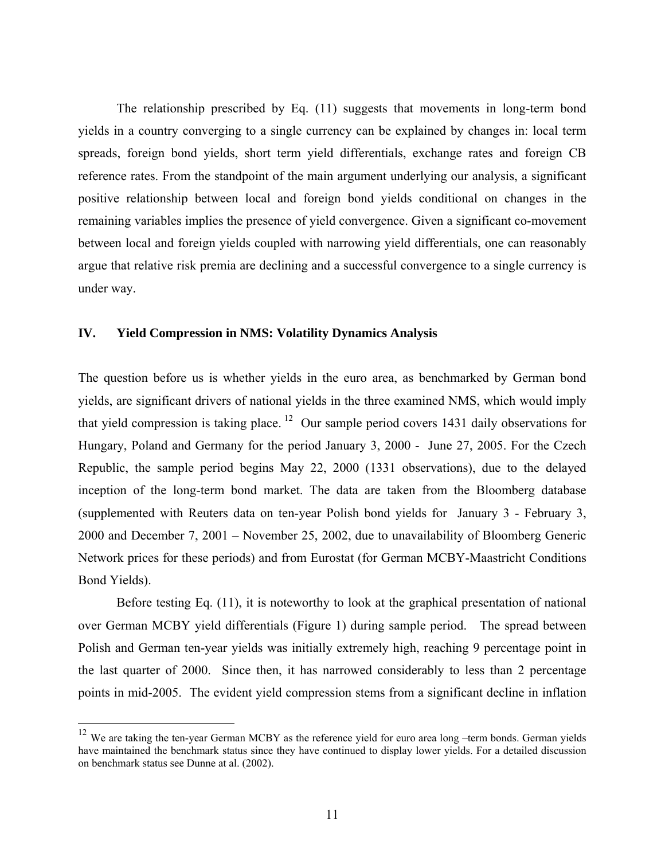The relationship prescribed by Eq. (11) suggests that movements in long-term bond yields in a country converging to a single currency can be explained by changes in: local term spreads, foreign bond yields, short term yield differentials, exchange rates and foreign CB reference rates. From the standpoint of the main argument underlying our analysis, a significant positive relationship between local and foreign bond yields conditional on changes in the remaining variables implies the presence of yield convergence. Given a significant co-movement between local and foreign yields coupled with narrowing yield differentials, one can reasonably argue that relative risk premia are declining and a successful convergence to a single currency is under way.

# **IV. Yield Compression in NMS: Volatility Dynamics Analysis**

<u>.</u>

The question before us is whether yields in the euro area, as benchmarked by German bond yields, are significant drivers of national yields in the three examined NMS, which would imply that yield compression is taking place.  $12$  Our sample period covers 1431 daily observations for Hungary, Poland and Germany for the period January 3, 2000 - June 27, 2005. For the Czech Republic, the sample period begins May 22, 2000 (1331 observations), due to the delayed inception of the long-term bond market. The data are taken from the Bloomberg database (supplemented with Reuters data on ten-year Polish bond yields for January 3 - February 3, 2000 and December 7, 2001 – November 25, 2002, due to unavailability of Bloomberg Generic Network prices for these periods) and from Eurostat (for German MCBY-Maastricht Conditions Bond Yields).

Before testing Eq. (11), it is noteworthy to look at the graphical presentation of national over German MCBY yield differentials (Figure 1) during sample period. The spread between Polish and German ten-year yields was initially extremely high, reaching 9 percentage point in the last quarter of 2000. Since then, it has narrowed considerably to less than 2 percentage points in mid-2005. The evident yield compression stems from a significant decline in inflation

 $12$  We are taking the ten-year German MCBY as the reference yield for euro area long –term bonds. German yields have maintained the benchmark status since they have continued to display lower yields. For a detailed discussion on benchmark status see Dunne at al. (2002).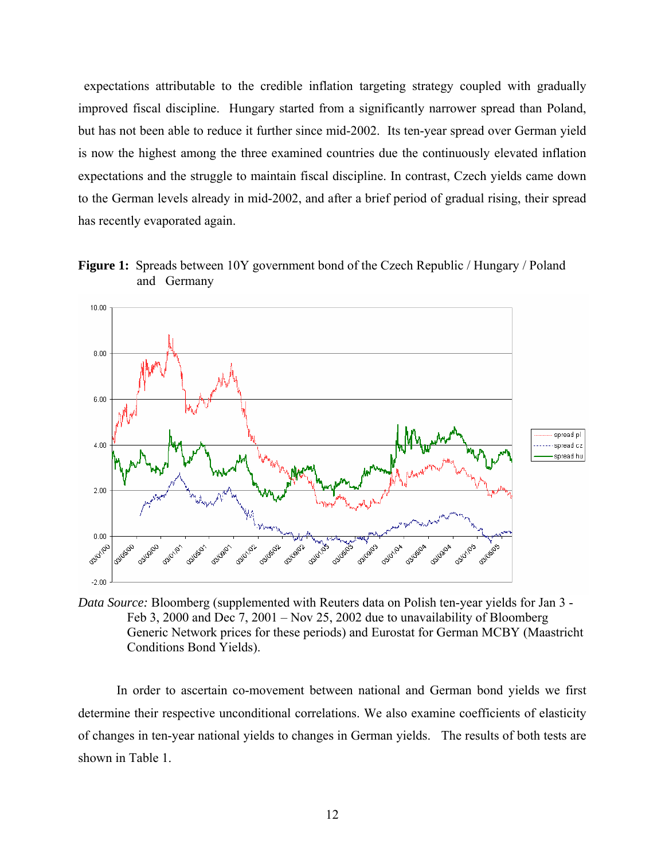expectations attributable to the credible inflation targeting strategy coupled with gradually improved fiscal discipline. Hungary started from a significantly narrower spread than Poland, but has not been able to reduce it further since mid-2002. Its ten-year spread over German yield is now the highest among the three examined countries due the continuously elevated inflation expectations and the struggle to maintain fiscal discipline. In contrast, Czech yields came down to the German levels already in mid-2002, and after a brief period of gradual rising, their spread has recently evaporated again.

**Figure 1:** Spreads between 10Y government bond of the Czech Republic / Hungary / Poland and Germany



*Data Source:* Bloomberg (supplemented with Reuters data on Polish ten-year yields for Jan 3 - Feb 3, 2000 and Dec 7, 2001 – Nov 25, 2002 due to unavailability of Bloomberg Generic Network prices for these periods) and Eurostat for German MCBY (Maastricht Conditions Bond Yields).

In order to ascertain co-movement between national and German bond yields we first determine their respective unconditional correlations. We also examine coefficients of elasticity of changes in ten-year national yields to changes in German yields. The results of both tests are shown in Table 1.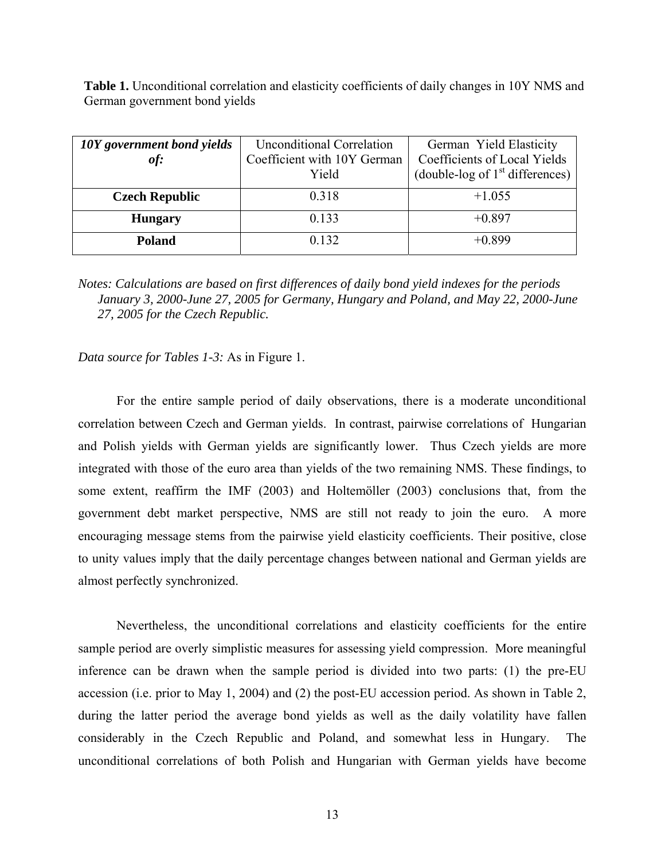**Table 1.** Unconditional correlation and elasticity coefficients of daily changes in 10Y NMS and German government bond yields

| 10Y government bond yields<br>of: | <b>Unconditional Correlation</b><br>Coefficient with 10Y German<br>Yield | German Yield Elasticity<br>Coefficients of Local Yields<br>(double-log of $1st$ differences) |
|-----------------------------------|--------------------------------------------------------------------------|----------------------------------------------------------------------------------------------|
| <b>Czech Republic</b>             | 0.318                                                                    | $+1.055$                                                                                     |
| <b>Hungary</b>                    | 0.133                                                                    | $+0.897$                                                                                     |
| <b>Poland</b>                     | 0.132                                                                    | $+0.899$                                                                                     |

*Notes: Calculations are based on first differences of daily bond yield indexes for the periods January 3, 2000-June 27, 2005 for Germany, Hungary and Poland, and May 22, 2000-June 27, 2005 for the Czech Republic.* 

# *Data source for Tables 1-3:* As in Figure 1.

 For the entire sample period of daily observations, there is a moderate unconditional correlation between Czech and German yields. In contrast, pairwise correlations of Hungarian and Polish yields with German yields are significantly lower. Thus Czech yields are more integrated with those of the euro area than yields of the two remaining NMS. These findings, to some extent, reaffirm the IMF (2003) and Holtemöller (2003) conclusions that, from the government debt market perspective, NMS are still not ready to join the euro. A more encouraging message stems from the pairwise yield elasticity coefficients. Their positive, close to unity values imply that the daily percentage changes between national and German yields are almost perfectly synchronized.

 Nevertheless, the unconditional correlations and elasticity coefficients for the entire sample period are overly simplistic measures for assessing yield compression. More meaningful inference can be drawn when the sample period is divided into two parts: (1) the pre-EU accession (i.e. prior to May 1, 2004) and (2) the post-EU accession period. As shown in Table 2, during the latter period the average bond yields as well as the daily volatility have fallen considerably in the Czech Republic and Poland, and somewhat less in Hungary. The unconditional correlations of both Polish and Hungarian with German yields have become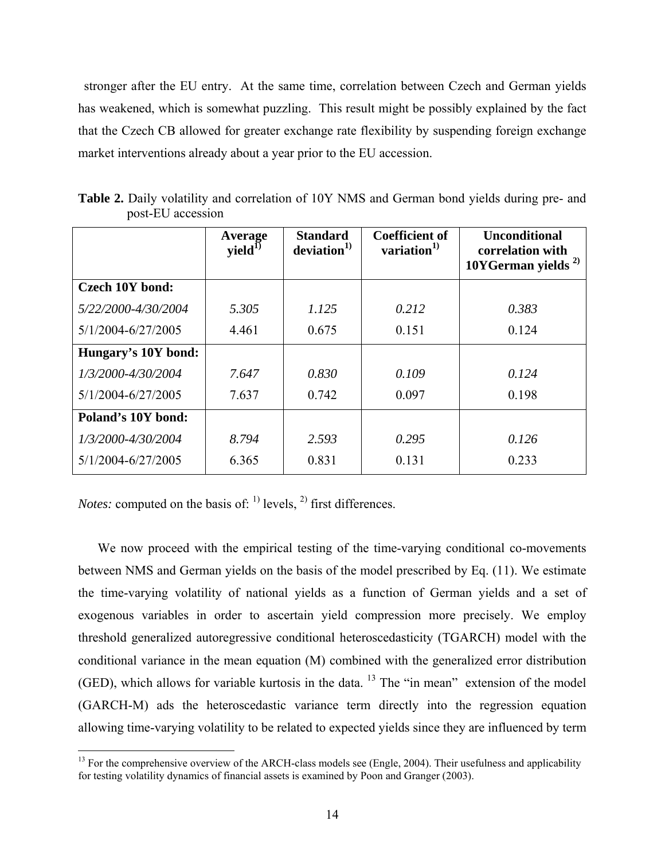stronger after the EU entry. At the same time, correlation between Czech and German yields has weakened, which is somewhat puzzling. This result might be possibly explained by the fact that the Czech CB allowed for greater exchange rate flexibility by suspending foreign exchange market interventions already about a year prior to the EU accession.

|                        | Average<br>yield <sup>1</sup> | <b>Standard</b><br>deviation <sup>1</sup> | <b>Coefficient of</b><br>variation $^{1)}$ | <b>Unconditional</b><br>correlation with<br>10YGerman yields $^{2)}$ |
|------------------------|-------------------------------|-------------------------------------------|--------------------------------------------|----------------------------------------------------------------------|
| <b>Czech 10Y bond:</b> |                               |                                           |                                            |                                                                      |
| 5/22/2000-4/30/2004    | 5.305                         | 1.125                                     | 0.212                                      | 0.383                                                                |
| 5/1/2004-6/27/2005     | 4.461                         | 0.675                                     | 0.151                                      | 0.124                                                                |
| Hungary's 10Y bond:    |                               |                                           |                                            |                                                                      |
| 1/3/2000-4/30/2004     | 7.647                         | 0.830                                     | 0.109                                      | 0.124                                                                |
| 5/1/2004-6/27/2005     | 7.637                         | 0.742                                     | 0.097                                      | 0.198                                                                |
| Poland's 10Y bond:     |                               |                                           |                                            |                                                                      |
| 1/3/2000-4/30/2004     | 8.794                         | 2.593                                     | 0.295                                      | 0.126                                                                |
| 5/1/2004-6/27/2005     | 6.365                         | 0.831                                     | 0.131                                      | 0.233                                                                |

**Table 2.** Daily volatility and correlation of 10Y NMS and German bond yields during pre- and post-EU accession

*Notes:* computed on the basis of:  $\binom{1}{1}$  levels,  $\binom{2}{1}$  first differences.

 $\overline{a}$ 

We now proceed with the empirical testing of the time-varying conditional co-movements between NMS and German yields on the basis of the model prescribed by Eq. (11). We estimate the time-varying volatility of national yields as a function of German yields and a set of exogenous variables in order to ascertain yield compression more precisely. We employ threshold generalized autoregressive conditional heteroscedasticity (TGARCH) model with the conditional variance in the mean equation (M) combined with the generalized error distribution (GED), which allows for variable kurtosis in the data.  $13$  The "in mean" extension of the model (GARCH-M) ads the heteroscedastic variance term directly into the regression equation allowing time-varying volatility to be related to expected yields since they are influenced by term

<sup>&</sup>lt;sup>13</sup> For the comprehensive overview of the ARCH-class models see (Engle, 2004). Their usefulness and applicability for testing volatility dynamics of financial assets is examined by Poon and Granger (2003).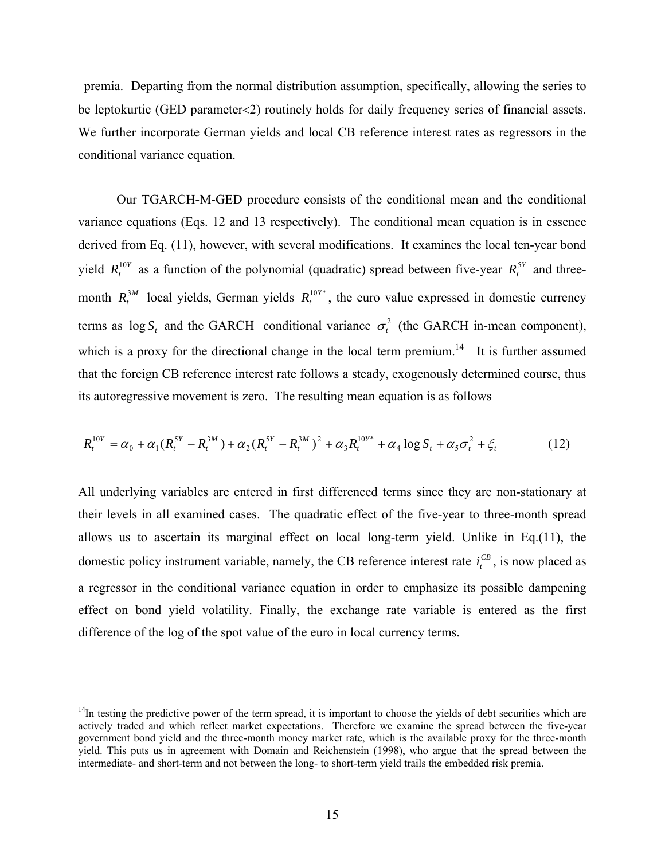premia. Departing from the normal distribution assumption, specifically, allowing the series to be leptokurtic (GED parameter<2) routinely holds for daily frequency series of financial assets. We further incorporate German yields and local CB reference interest rates as regressors in the conditional variance equation.

Our TGARCH-M-GED procedure consists of the conditional mean and the conditional variance equations (Eqs. 12 and 13 respectively). The conditional mean equation is in essence derived from Eq. (11), however, with several modifications. It examines the local ten-year bond yield  $R_t^{10Y}$  as a function of the polynomial (quadratic) spread between five-year  $R_t^{5Y}$  and threemonth  $R_t^{3M}$  local yields, German yields  $R_t^{10Y*}$ , the euro value expressed in domestic currency terms as  $\log S$ , and the GARCH conditional variance  $\sigma^2$  (the GARCH in-mean component), which is a proxy for the directional change in the local term premium.<sup>14</sup> It is further assumed that the foreign CB reference interest rate follows a steady, exogenously determined course, thus its autoregressive movement is zero. The resulting mean equation is as follows

$$
R_t^{10Y} = \alpha_0 + \alpha_1 (R_t^{5Y} - R_t^{3M}) + \alpha_2 (R_t^{5Y} - R_t^{3M})^2 + \alpha_3 R_t^{10Y^*} + \alpha_4 \log S_t + \alpha_5 \sigma_t^2 + \xi_t
$$
 (12)

All underlying variables are entered in first differenced terms since they are non-stationary at their levels in all examined cases. The quadratic effect of the five-year to three-month spread allows us to ascertain its marginal effect on local long-term yield. Unlike in Eq.(11), the domestic policy instrument variable, namely, the CB reference interest rate  $i_t^{CB}$ , is now placed as a regressor in the conditional variance equation in order to emphasize its possible dampening effect on bond yield volatility. Finally, the exchange rate variable is entered as the first difference of the log of the spot value of the euro in local currency terms.

 $14$ In testing the predictive power of the term spread, it is important to choose the yields of debt securities which are actively traded and which reflect market expectations. Therefore we examine the spread between the five-year government bond yield and the three-month money market rate, which is the available proxy for the three-month yield. This puts us in agreement with Domain and Reichenstein (1998), who argue that the spread between the intermediate- and short-term and not between the long- to short-term yield trails the embedded risk premia.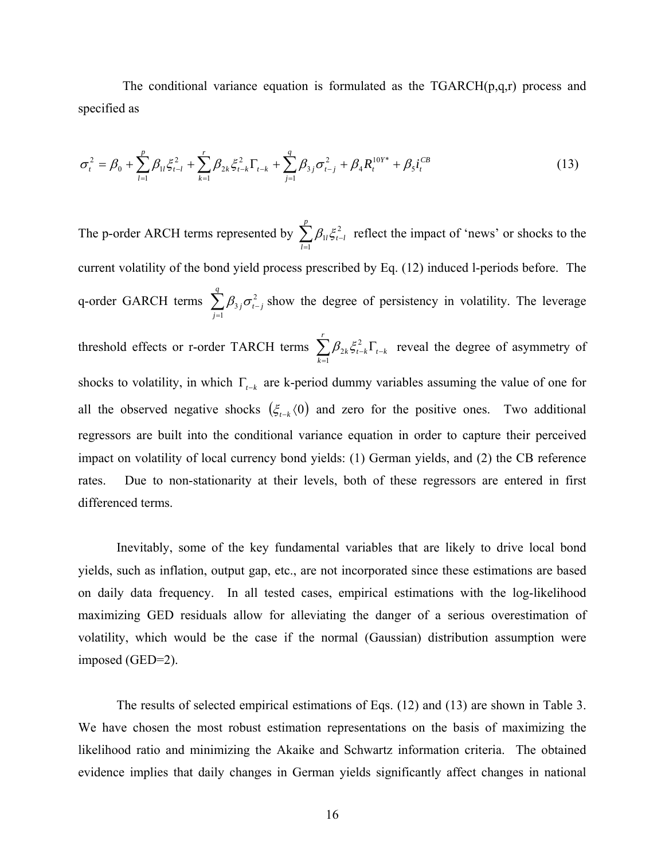The conditional variance equation is formulated as the  $TGARCH(p,q,r)$  process and specified as

$$
\sigma_t^2 = \beta_0 + \sum_{l=1}^p \beta_{1l} \xi_{t-l}^2 + \sum_{k=1}^r \beta_{2k} \xi_{t-k}^2 \Gamma_{t-k} + \sum_{j=1}^q \beta_{3j} \sigma_{t-j}^2 + \beta_4 R_t^{10Y^*} + \beta_5 i_t^{CB}
$$
(13)

The p-order ARCH terms represented by  $\sum_{l=1}^{n}$ − *p l l t l* 1  $\beta_{1l} \xi_{t-l}^2$  reflect the impact of 'news' or shocks to the current volatility of the bond yield process prescribed by Eq. (12) induced l-periods before. The q-order GARCH terms  $\sum_{j=1}^{n}$ − *q j*  $j$   $\mathbf{v}$   $_{t-j}$ 1  $\beta_{3j}\sigma_{i-j}^2$  show the degree of persistency in volatility. The leverage threshold effects or r-order TARCH terms  $\sum_{k=1}^{r} \beta_{2k} \xi_{t-k}^2 \Gamma_{t-k}$ *k*  $k$   $\blacktriangleright$   $t$   $\neg k$   $\blacktriangle$   $t$   $\neg k$ 1  $\beta_{2k} \xi_{t-k}^2 \Gamma_{t-k}$  reveal the degree of asymmetry of shocks to volatility, in which Γ*t*−*k* are k-period dummy variables assuming the value of one for all the observed negative shocks  $(\xi_{t-k}(0))$  and zero for the positive ones. Two additional regressors are built into the conditional variance equation in order to capture their perceived impact on volatility of local currency bond yields: (1) German yields, and (2) the CB reference rates. Due to non-stationarity at their levels, both of these regressors are entered in first differenced terms.

 Inevitably, some of the key fundamental variables that are likely to drive local bond yields, such as inflation, output gap, etc., are not incorporated since these estimations are based on daily data frequency. In all tested cases, empirical estimations with the log-likelihood maximizing GED residuals allow for alleviating the danger of a serious overestimation of volatility, which would be the case if the normal (Gaussian) distribution assumption were imposed (GED=2).

 The results of selected empirical estimations of Eqs. (12) and (13) are shown in Table 3. We have chosen the most robust estimation representations on the basis of maximizing the likelihood ratio and minimizing the Akaike and Schwartz information criteria. The obtained evidence implies that daily changes in German yields significantly affect changes in national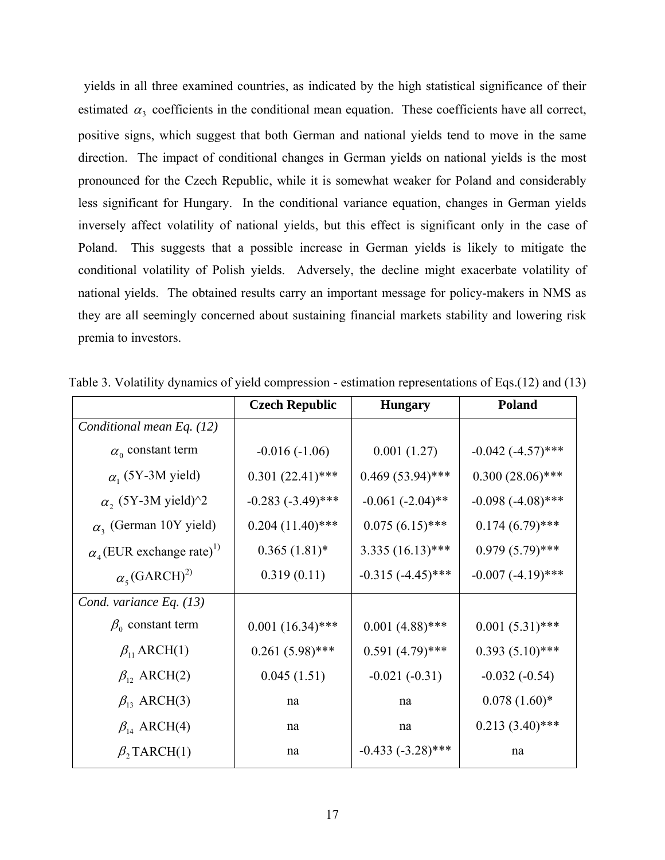yields in all three examined countries, as indicated by the high statistical significance of their estimated  $\alpha_3$  coefficients in the conditional mean equation. These coefficients have all correct, positive signs, which suggest that both German and national yields tend to move in the same direction. The impact of conditional changes in German yields on national yields is the most pronounced for the Czech Republic, while it is somewhat weaker for Poland and considerably less significant for Hungary. In the conditional variance equation, changes in German yields inversely affect volatility of national yields, but this effect is significant only in the case of Poland. This suggests that a possible increase in German yields is likely to mitigate the conditional volatility of Polish yields. Adversely, the decline might exacerbate volatility of national yields. The obtained results carry an important message for policy-makers in NMS as they are all seemingly concerned about sustaining financial markets stability and lowering risk premia to investors.

|                                                          | <b>Czech Republic</b> | <b>Hungary</b>       | Poland                 |
|----------------------------------------------------------|-----------------------|----------------------|------------------------|
| Conditional mean Eq. (12)                                |                       |                      |                        |
| $\alpha_0$ constant term                                 | $-0.016(-1.06)$       | 0.001(1.27)          | $-0.042$ $(-4.57)$ *** |
| $\alpha$ <sub>1</sub> (5Y-3M yield)                      | $0.301(22.41)$ ***    | $0.469(53.94)$ ***   | $0.300(28.06)$ ***     |
| $\alpha$ , (5Y-3M yield) <sup><math>\gamma</math>2</sup> | $-0.283 (-3.49)$ ***  | $-0.061(-2.04)$ **   | $-0.098 (-4.08)$ ***   |
| $\alpha$ <sub>3</sub> (German 10Y yield)                 | $0.204(11.40)$ ***    | $0.075(6.15)$ ***    | $0.174(6.79)$ ***      |
| $\alpha$ <sub>4</sub> (EUR exchange rate) <sup>1)</sup>  | $0.365(1.81)$ *       | $3.335(16.13)$ ***   | $0.979(5.79)$ ***      |
| $\alpha_{5}$ (GARCH) <sup>2)</sup>                       | 0.319(0.11)           | $-0.315 (-4.45)$ *** | $-0.007(-4.19)$ ***    |
| Cond. variance Eq. $(13)$                                |                       |                      |                        |
| $\beta_0$ constant term                                  | $0.001(16.34)$ ***    | $0.001(4.88)$ ***    | $0.001(5.31)$ ***      |
| $\beta_{11}$ ARCH(1)                                     | $0.261(5.98)$ ***     | $0.591(4.79)$ ***    | $0.393(5.10)$ ***      |
| $\beta_{12}$ ARCH(2)                                     | 0.045(1.51)           | $-0.021(-0.31)$      | $-0.032(-0.54)$        |
| $\beta_{13}$ ARCH(3)                                     | na                    | na                   | $0.078(1.60)*$         |
| $\beta_{14}$ ARCH(4)                                     | na                    | na                   | $0.213(3.40)$ ***      |
| $\beta$ , TARCH(1)                                       | na                    | $-0.433(-3.28)$ ***  | na                     |

Table 3. Volatility dynamics of yield compression - estimation representations of Eqs.(12) and (13)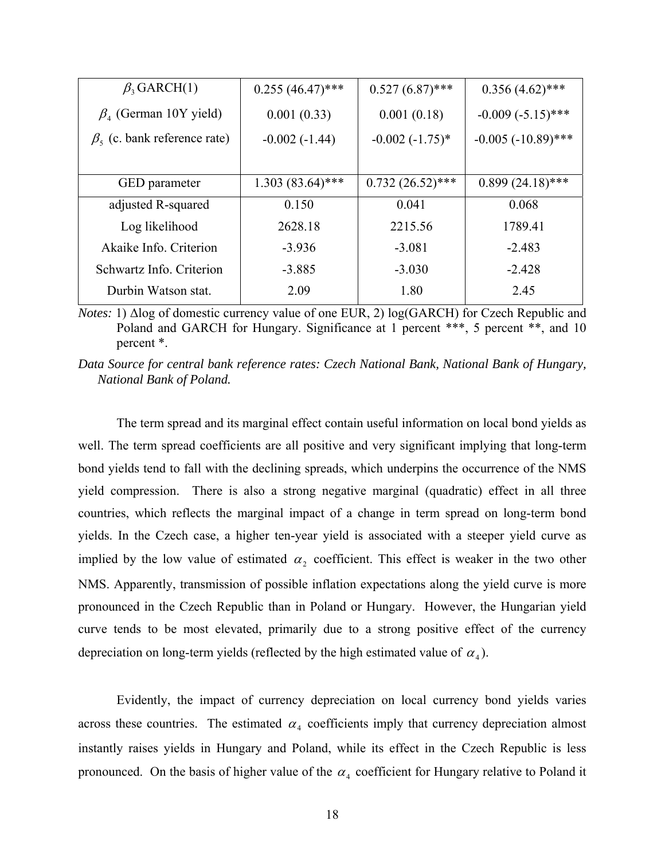| $\beta$ <sub>3</sub> GARCH(1)           | $0.255(46.47)$ *** | $0.527(6.87)$ ***  | $0.356(4.62)$ ***     |
|-----------------------------------------|--------------------|--------------------|-----------------------|
| $\beta$ <sub>4</sub> (German 10Y yield) | 0.001(0.33)        | 0.001(0.18)        | $-0.009(-5.15)$ ***   |
| $\beta_5$ (c. bank reference rate)      | $-0.002(-1.44)$    | $-0.002(-1.75)$ *  | $-0.005 (-10.89)$ *** |
|                                         |                    |                    |                       |
| <b>GED</b> parameter                    | $1.303(83.64)$ *** | $0.732(26.52)$ *** | $0.899(24.18)$ ***    |
| adjusted R-squared                      | 0.150              | 0.041              | 0.068                 |
| Log likelihood                          | 2628.18            | 2215.56            | 1789.41               |
| Akaike Info. Criterion                  | $-3.936$           | $-3.081$           | $-2.483$              |
| Schwartz Info. Criterion                | $-3.885$           | $-3.030$           | $-2.428$              |
| Durbin Watson stat.                     | 2.09               | 1.80               | 2.45                  |

*Notes:* 1) ∆log of domestic currency value of one EUR, 2) log(GARCH) for Czech Republic and Poland and GARCH for Hungary. Significance at 1 percent \*\*\*, 5 percent \*\*, and 10 percent \*.

*Data Source for central bank reference rates: Czech National Bank, National Bank of Hungary, National Bank of Poland.* 

 The term spread and its marginal effect contain useful information on local bond yields as well. The term spread coefficients are all positive and very significant implying that long-term bond yields tend to fall with the declining spreads, which underpins the occurrence of the NMS yield compression. There is also a strong negative marginal (quadratic) effect in all three countries, which reflects the marginal impact of a change in term spread on long-term bond yields. In the Czech case, a higher ten-year yield is associated with a steeper yield curve as implied by the low value of estimated  $\alpha_2$  coefficient. This effect is weaker in the two other NMS. Apparently, transmission of possible inflation expectations along the yield curve is more pronounced in the Czech Republic than in Poland or Hungary. However, the Hungarian yield curve tends to be most elevated, primarily due to a strong positive effect of the currency depreciation on long-term yields (reflected by the high estimated value of  $\alpha_4$ ).

 Evidently, the impact of currency depreciation on local currency bond yields varies across these countries. The estimated  $\alpha_4$  coefficients imply that currency depreciation almost instantly raises yields in Hungary and Poland, while its effect in the Czech Republic is less pronounced. On the basis of higher value of the  $\alpha_4$  coefficient for Hungary relative to Poland it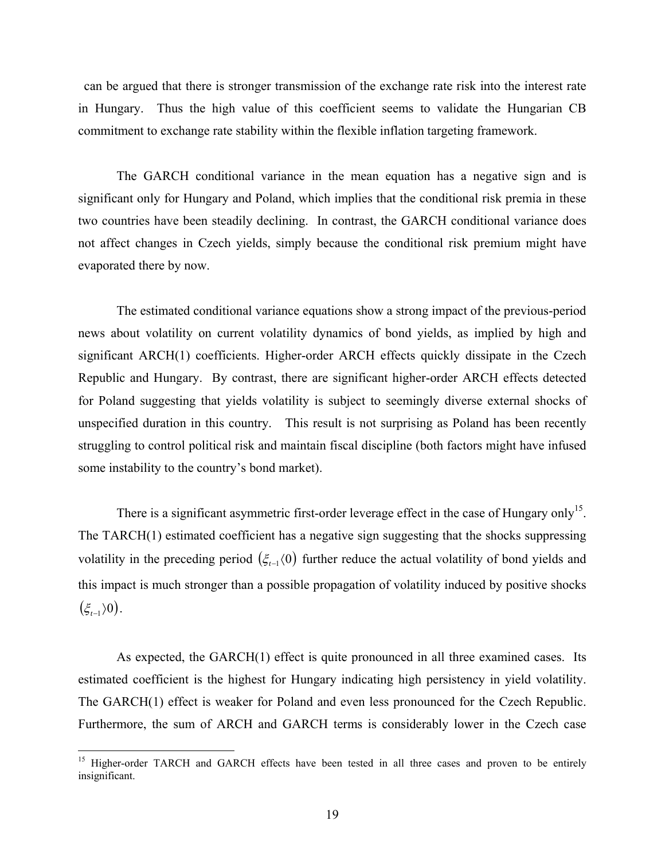can be argued that there is stronger transmission of the exchange rate risk into the interest rate in Hungary. Thus the high value of this coefficient seems to validate the Hungarian CB commitment to exchange rate stability within the flexible inflation targeting framework.

 The GARCH conditional variance in the mean equation has a negative sign and is significant only for Hungary and Poland, which implies that the conditional risk premia in these two countries have been steadily declining. In contrast, the GARCH conditional variance does not affect changes in Czech yields, simply because the conditional risk premium might have evaporated there by now.

 The estimated conditional variance equations show a strong impact of the previous-period news about volatility on current volatility dynamics of bond yields, as implied by high and significant ARCH(1) coefficients. Higher-order ARCH effects quickly dissipate in the Czech Republic and Hungary. By contrast, there are significant higher-order ARCH effects detected for Poland suggesting that yields volatility is subject to seemingly diverse external shocks of unspecified duration in this country. This result is not surprising as Poland has been recently struggling to control political risk and maintain fiscal discipline (both factors might have infused some instability to the country's bond market).

There is a significant asymmetric first-order leverage effect in the case of Hungary only<sup>15</sup>. The TARCH(1) estimated coefficient has a negative sign suggesting that the shocks suppressing volatility in the preceding period  $(\xi_{t-1}$  (0) further reduce the actual volatility of bond yields and this impact is much stronger than a possible propagation of volatility induced by positive shocks  $(\xi_{t-1} \rangle 0$ .

As expected, the GARCH(1) effect is quite pronounced in all three examined cases. Its estimated coefficient is the highest for Hungary indicating high persistency in yield volatility. The GARCH(1) effect is weaker for Poland and even less pronounced for the Czech Republic. Furthermore, the sum of ARCH and GARCH terms is considerably lower in the Czech case

<sup>&</sup>lt;sup>15</sup> Higher-order TARCH and GARCH effects have been tested in all three cases and proven to be entirely insignificant.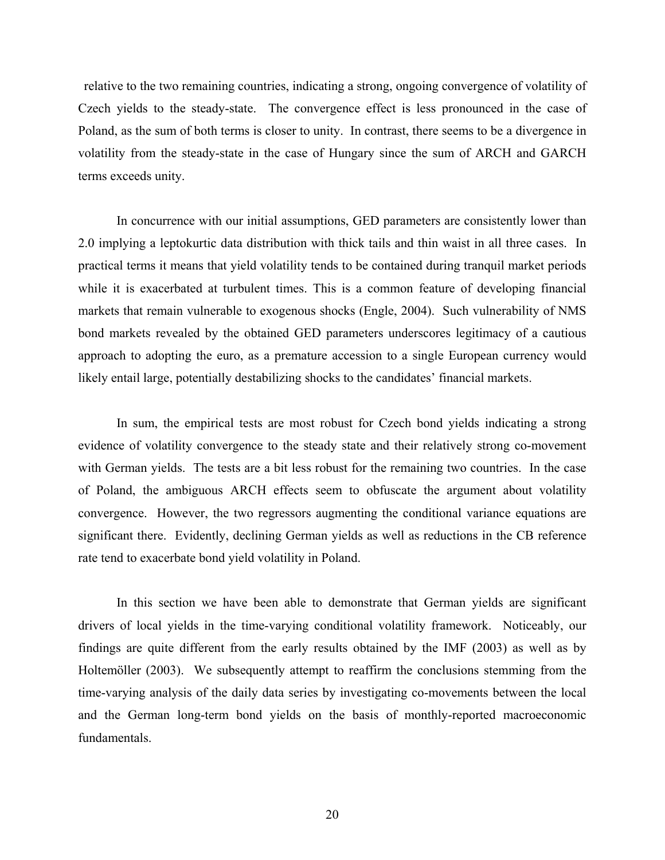relative to the two remaining countries, indicating a strong, ongoing convergence of volatility of Czech yields to the steady-state. The convergence effect is less pronounced in the case of Poland, as the sum of both terms is closer to unity. In contrast, there seems to be a divergence in volatility from the steady-state in the case of Hungary since the sum of ARCH and GARCH terms exceeds unity.

 In concurrence with our initial assumptions, GED parameters are consistently lower than 2.0 implying a leptokurtic data distribution with thick tails and thin waist in all three cases. In practical terms it means that yield volatility tends to be contained during tranquil market periods while it is exacerbated at turbulent times. This is a common feature of developing financial markets that remain vulnerable to exogenous shocks (Engle, 2004). Such vulnerability of NMS bond markets revealed by the obtained GED parameters underscores legitimacy of a cautious approach to adopting the euro, as a premature accession to a single European currency would likely entail large, potentially destabilizing shocks to the candidates' financial markets.

In sum, the empirical tests are most robust for Czech bond yields indicating a strong evidence of volatility convergence to the steady state and their relatively strong co-movement with German yields. The tests are a bit less robust for the remaining two countries. In the case of Poland, the ambiguous ARCH effects seem to obfuscate the argument about volatility convergence. However, the two regressors augmenting the conditional variance equations are significant there. Evidently, declining German yields as well as reductions in the CB reference rate tend to exacerbate bond yield volatility in Poland.

 In this section we have been able to demonstrate that German yields are significant drivers of local yields in the time-varying conditional volatility framework. Noticeably, our findings are quite different from the early results obtained by the IMF (2003) as well as by Holtemöller (2003). We subsequently attempt to reaffirm the conclusions stemming from the time-varying analysis of the daily data series by investigating co-movements between the local and the German long-term bond yields on the basis of monthly-reported macroeconomic fundamentals.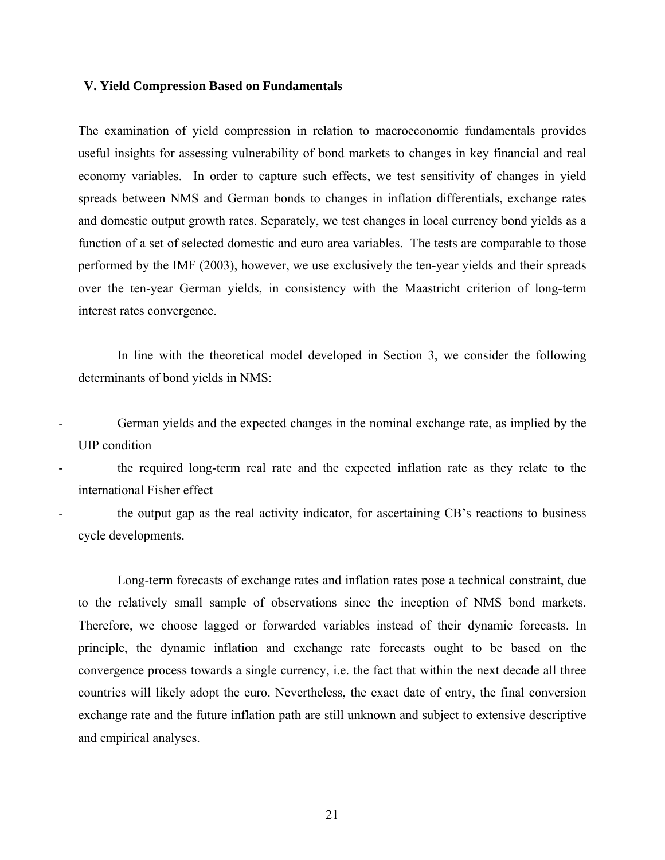# **V. Yield Compression Based on Fundamentals**

The examination of yield compression in relation to macroeconomic fundamentals provides useful insights for assessing vulnerability of bond markets to changes in key financial and real economy variables. In order to capture such effects, we test sensitivity of changes in yield spreads between NMS and German bonds to changes in inflation differentials, exchange rates and domestic output growth rates. Separately, we test changes in local currency bond yields as a function of a set of selected domestic and euro area variables. The tests are comparable to those performed by the IMF (2003), however, we use exclusively the ten-year yields and their spreads over the ten-year German yields, in consistency with the Maastricht criterion of long-term interest rates convergence.

In line with the theoretical model developed in Section 3, we consider the following determinants of bond yields in NMS:

German yields and the expected changes in the nominal exchange rate, as implied by the UIP condition

the required long-term real rate and the expected inflation rate as they relate to the international Fisher effect

the output gap as the real activity indicator, for ascertaining CB's reactions to business cycle developments.

Long-term forecasts of exchange rates and inflation rates pose a technical constraint, due to the relatively small sample of observations since the inception of NMS bond markets. Therefore, we choose lagged or forwarded variables instead of their dynamic forecasts. In principle, the dynamic inflation and exchange rate forecasts ought to be based on the convergence process towards a single currency, i.e. the fact that within the next decade all three countries will likely adopt the euro. Nevertheless, the exact date of entry, the final conversion exchange rate and the future inflation path are still unknown and subject to extensive descriptive and empirical analyses.

21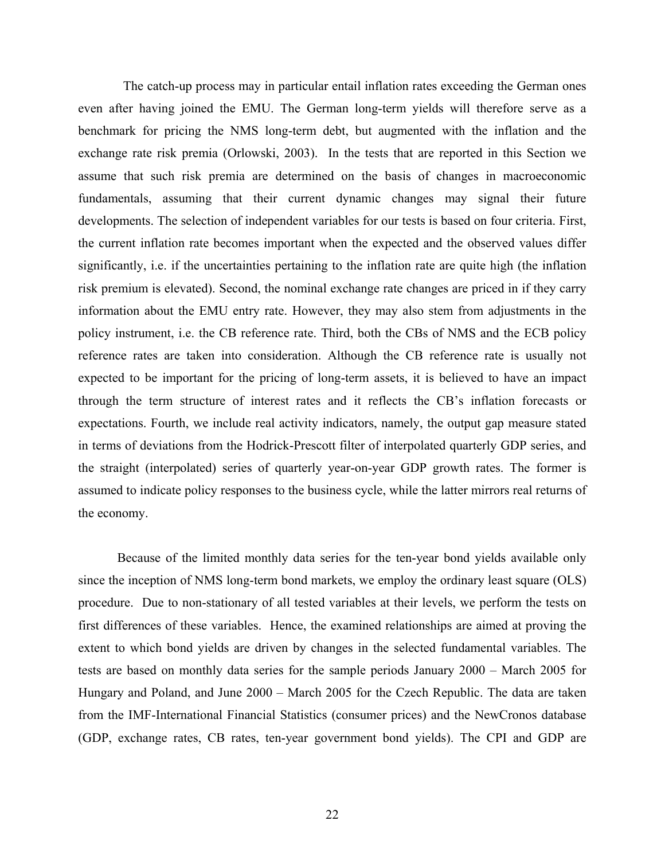The catch-up process may in particular entail inflation rates exceeding the German ones even after having joined the EMU. The German long-term yields will therefore serve as a benchmark for pricing the NMS long-term debt, but augmented with the inflation and the exchange rate risk premia (Orlowski, 2003). In the tests that are reported in this Section we assume that such risk premia are determined on the basis of changes in macroeconomic fundamentals, assuming that their current dynamic changes may signal their future developments. The selection of independent variables for our tests is based on four criteria. First, the current inflation rate becomes important when the expected and the observed values differ significantly, i.e. if the uncertainties pertaining to the inflation rate are quite high (the inflation risk premium is elevated). Second, the nominal exchange rate changes are priced in if they carry information about the EMU entry rate. However, they may also stem from adjustments in the policy instrument, i.e. the CB reference rate. Third, both the CBs of NMS and the ECB policy reference rates are taken into consideration. Although the CB reference rate is usually not expected to be important for the pricing of long-term assets, it is believed to have an impact through the term structure of interest rates and it reflects the CB's inflation forecasts or expectations. Fourth, we include real activity indicators, namely, the output gap measure stated in terms of deviations from the Hodrick-Prescott filter of interpolated quarterly GDP series, and the straight (interpolated) series of quarterly year-on-year GDP growth rates. The former is assumed to indicate policy responses to the business cycle, while the latter mirrors real returns of the economy.

Because of the limited monthly data series for the ten-year bond yields available only since the inception of NMS long-term bond markets, we employ the ordinary least square (OLS) procedure. Due to non-stationary of all tested variables at their levels, we perform the tests on first differences of these variables. Hence, the examined relationships are aimed at proving the extent to which bond yields are driven by changes in the selected fundamental variables. The tests are based on monthly data series for the sample periods January 2000 – March 2005 for Hungary and Poland, and June 2000 – March 2005 for the Czech Republic. The data are taken from the IMF-International Financial Statistics (consumer prices) and the NewCronos database (GDP, exchange rates, CB rates, ten-year government bond yields). The CPI and GDP are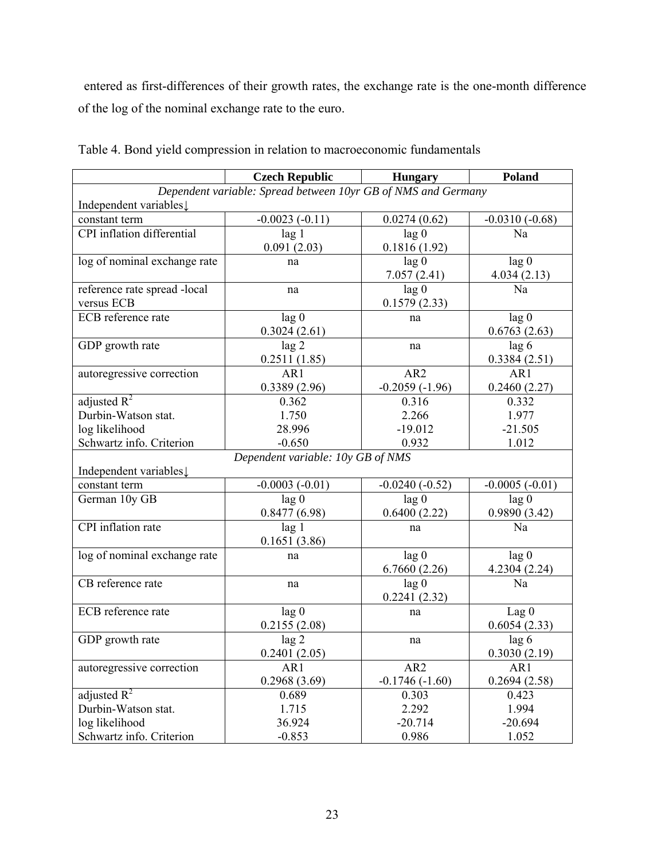entered as first-differences of their growth rates, the exchange rate is the one-month difference of the log of the nominal exchange rate to the euro.

|                                                               | <b>Czech Republic</b>             | <b>Hungary</b>   | Poland           |  |
|---------------------------------------------------------------|-----------------------------------|------------------|------------------|--|
| Dependent variable: Spread between 10yr GB of NMS and Germany |                                   |                  |                  |  |
| Independent variables.                                        |                                   |                  |                  |  |
| constant term                                                 | $-0.0023(-0.11)$                  | 0.0274(0.62)     | $-0.0310(-0.68)$ |  |
| CPI inflation differential                                    | lag <sub>1</sub>                  | lag <sub>0</sub> | Na               |  |
|                                                               | 0.091(2.03)                       | 0.1816(1.92)     |                  |  |
| log of nominal exchange rate                                  | na                                | lag 0            | lag 0            |  |
|                                                               |                                   | 7.057(2.41)      | 4.034(2.13)      |  |
| reference rate spread -local                                  | na                                | lag 0            | Na               |  |
| versus ECB                                                    |                                   | 0.1579(2.33)     |                  |  |
| ECB reference rate                                            | lag 0                             | na               | lag 0            |  |
|                                                               | 0.3024(2.61)                      |                  | 0.6763(2.63)     |  |
| GDP growth rate                                               | lag <sub>2</sub>                  | na               | lag 6            |  |
|                                                               | 0.2511(1.85)                      |                  | 0.3384(2.51)     |  |
| autoregressive correction                                     | AR1                               | AR <sub>2</sub>  | AR1              |  |
|                                                               | 0.3389(2.96)                      | $-0.2059(-1.96)$ | 0.2460(2.27)     |  |
| adjusted $R^2$                                                | 0.362                             | 0.316            | 0.332            |  |
| Durbin-Watson stat.                                           | 1.750                             | 2.266            | 1.977            |  |
| log likelihood                                                | 28.996                            | $-19.012$        | $-21.505$        |  |
| Schwartz info. Criterion                                      | $-0.650$                          | 0.932            | 1.012            |  |
|                                                               | Dependent variable: 10y GB of NMS |                  |                  |  |
| Independent variables.                                        |                                   |                  |                  |  |
| constant term                                                 | $-0.0003(-0.01)$                  | $-0.0240(-0.52)$ | $-0.0005(-0.01)$ |  |
| German 10y GB                                                 | lag <sub>0</sub>                  | lag <sub>0</sub> | $\log 0$         |  |
|                                                               | 0.8477(6.98)                      | 0.6400(2.22)     | 0.9890(3.42)     |  |
| CPI inflation rate                                            | lag <sub>1</sub>                  | na               | Na               |  |
|                                                               | 0.1651(3.86)                      |                  |                  |  |
| log of nominal exchange rate                                  | na                                | lag <sub>0</sub> | lag <sub>0</sub> |  |
|                                                               |                                   | 6.7660(2.26)     | 4.2304 (2.24)    |  |
| CB reference rate                                             | na                                | lag 0            | Na               |  |
|                                                               |                                   | 0.2241(2.32)     |                  |  |
| ECB reference rate                                            | lag 0                             | na               | Lag <sub>0</sub> |  |
|                                                               | 0.2155(2.08)                      |                  | 0.6054(2.33)     |  |
| GDP growth rate                                               | lag <sub>2</sub>                  | na               | lag 6            |  |
|                                                               | 0.2401(2.05)                      |                  | 0.3030(2.19)     |  |
| autoregressive correction                                     | AR1                               | AR <sub>2</sub>  | AR1              |  |
|                                                               | 0.2968(3.69)                      | $-0.1746(-1.60)$ | 0.2694(2.58)     |  |
| adjusted $R^2$                                                | 0.689                             | 0.303            | 0.423            |  |
| Durbin-Watson stat.                                           | 1.715                             | 2.292            | 1.994            |  |
| log likelihood                                                | 36.924                            | $-20.714$        | $-20.694$        |  |
| Schwartz info. Criterion                                      | $-0.853$                          | 0.986            | 1.052            |  |

Table 4. Bond yield compression in relation to macroeconomic fundamentals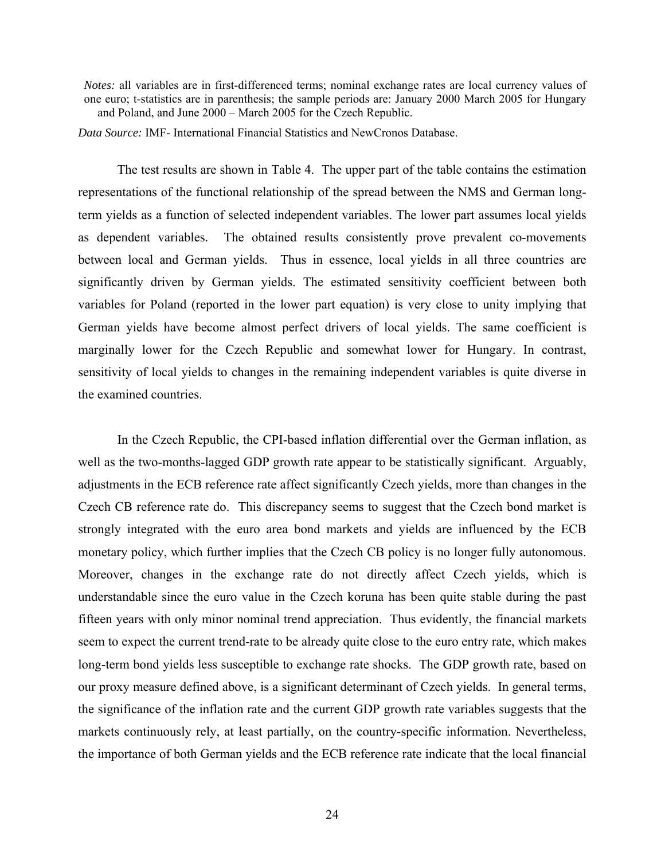*Notes:* all variables are in first-differenced terms; nominal exchange rates are local currency values of one euro; t-statistics are in parenthesis; the sample periods are: January 2000 March 2005 for Hungary and Poland, and June 2000 – March 2005 for the Czech Republic.

*Data Source:* IMF- International Financial Statistics and NewCronos Database.

The test results are shown in Table 4. The upper part of the table contains the estimation representations of the functional relationship of the spread between the NMS and German longterm yields as a function of selected independent variables. The lower part assumes local yields as dependent variables. The obtained results consistently prove prevalent co-movements between local and German yields. Thus in essence, local yields in all three countries are significantly driven by German yields. The estimated sensitivity coefficient between both variables for Poland (reported in the lower part equation) is very close to unity implying that German yields have become almost perfect drivers of local yields. The same coefficient is marginally lower for the Czech Republic and somewhat lower for Hungary. In contrast, sensitivity of local yields to changes in the remaining independent variables is quite diverse in the examined countries.

In the Czech Republic, the CPI-based inflation differential over the German inflation, as well as the two-months-lagged GDP growth rate appear to be statistically significant. Arguably, adjustments in the ECB reference rate affect significantly Czech yields, more than changes in the Czech CB reference rate do. This discrepancy seems to suggest that the Czech bond market is strongly integrated with the euro area bond markets and yields are influenced by the ECB monetary policy, which further implies that the Czech CB policy is no longer fully autonomous. Moreover, changes in the exchange rate do not directly affect Czech yields, which is understandable since the euro value in the Czech koruna has been quite stable during the past fifteen years with only minor nominal trend appreciation. Thus evidently, the financial markets seem to expect the current trend-rate to be already quite close to the euro entry rate, which makes long-term bond yields less susceptible to exchange rate shocks. The GDP growth rate, based on our proxy measure defined above, is a significant determinant of Czech yields. In general terms, the significance of the inflation rate and the current GDP growth rate variables suggests that the markets continuously rely, at least partially, on the country-specific information. Nevertheless, the importance of both German yields and the ECB reference rate indicate that the local financial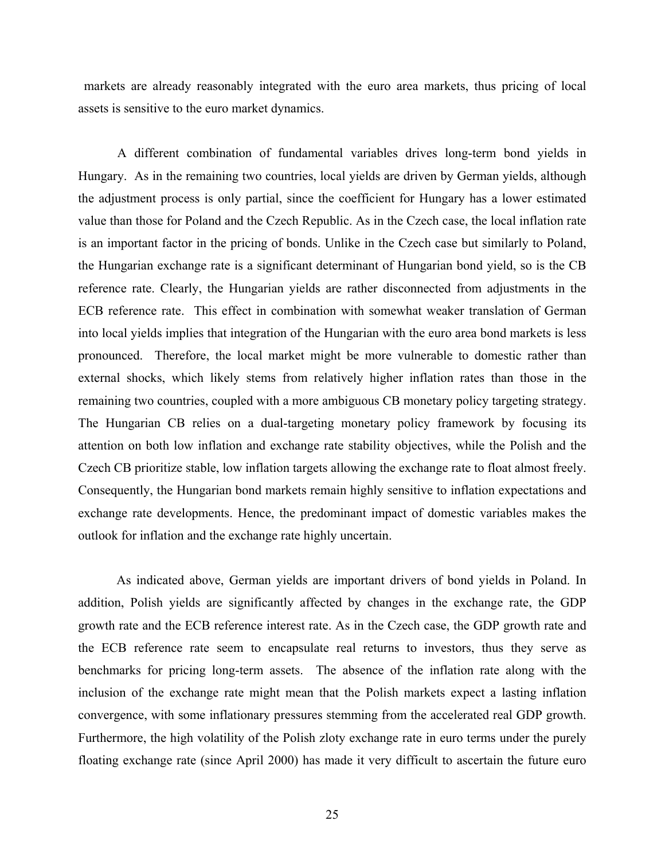markets are already reasonably integrated with the euro area markets, thus pricing of local assets is sensitive to the euro market dynamics.

A different combination of fundamental variables drives long-term bond yields in Hungary. As in the remaining two countries, local yields are driven by German yields, although the adjustment process is only partial, since the coefficient for Hungary has a lower estimated value than those for Poland and the Czech Republic. As in the Czech case, the local inflation rate is an important factor in the pricing of bonds. Unlike in the Czech case but similarly to Poland, the Hungarian exchange rate is a significant determinant of Hungarian bond yield, so is the CB reference rate. Clearly, the Hungarian yields are rather disconnected from adjustments in the ECB reference rate. This effect in combination with somewhat weaker translation of German into local yields implies that integration of the Hungarian with the euro area bond markets is less pronounced. Therefore, the local market might be more vulnerable to domestic rather than external shocks, which likely stems from relatively higher inflation rates than those in the remaining two countries, coupled with a more ambiguous CB monetary policy targeting strategy. The Hungarian CB relies on a dual-targeting monetary policy framework by focusing its attention on both low inflation and exchange rate stability objectives, while the Polish and the Czech CB prioritize stable, low inflation targets allowing the exchange rate to float almost freely. Consequently, the Hungarian bond markets remain highly sensitive to inflation expectations and exchange rate developments. Hence, the predominant impact of domestic variables makes the outlook for inflation and the exchange rate highly uncertain.

As indicated above, German yields are important drivers of bond yields in Poland. In addition, Polish yields are significantly affected by changes in the exchange rate, the GDP growth rate and the ECB reference interest rate. As in the Czech case, the GDP growth rate and the ECB reference rate seem to encapsulate real returns to investors, thus they serve as benchmarks for pricing long-term assets. The absence of the inflation rate along with the inclusion of the exchange rate might mean that the Polish markets expect a lasting inflation convergence, with some inflationary pressures stemming from the accelerated real GDP growth. Furthermore, the high volatility of the Polish zloty exchange rate in euro terms under the purely floating exchange rate (since April 2000) has made it very difficult to ascertain the future euro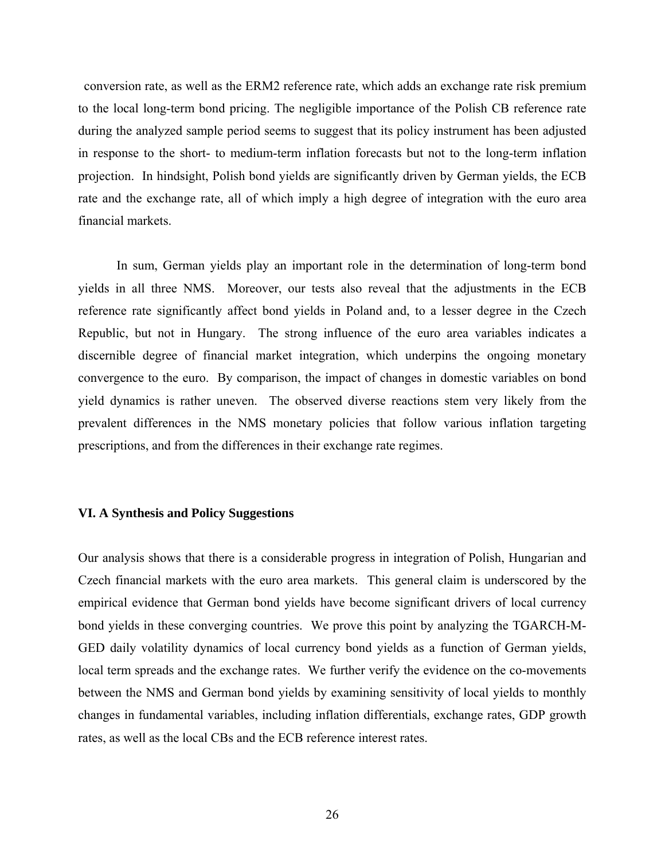conversion rate, as well as the ERM2 reference rate, which adds an exchange rate risk premium to the local long-term bond pricing. The negligible importance of the Polish CB reference rate during the analyzed sample period seems to suggest that its policy instrument has been adjusted in response to the short- to medium-term inflation forecasts but not to the long-term inflation projection. In hindsight, Polish bond yields are significantly driven by German yields, the ECB rate and the exchange rate, all of which imply a high degree of integration with the euro area financial markets.

In sum, German yields play an important role in the determination of long-term bond yields in all three NMS. Moreover, our tests also reveal that the adjustments in the ECB reference rate significantly affect bond yields in Poland and, to a lesser degree in the Czech Republic, but not in Hungary. The strong influence of the euro area variables indicates a discernible degree of financial market integration, which underpins the ongoing monetary convergence to the euro. By comparison, the impact of changes in domestic variables on bond yield dynamics is rather uneven. The observed diverse reactions stem very likely from the prevalent differences in the NMS monetary policies that follow various inflation targeting prescriptions, and from the differences in their exchange rate regimes.

# **VI. A Synthesis and Policy Suggestions**

Our analysis shows that there is a considerable progress in integration of Polish, Hungarian and Czech financial markets with the euro area markets. This general claim is underscored by the empirical evidence that German bond yields have become significant drivers of local currency bond yields in these converging countries. We prove this point by analyzing the TGARCH-M-GED daily volatility dynamics of local currency bond yields as a function of German yields, local term spreads and the exchange rates. We further verify the evidence on the co-movements between the NMS and German bond yields by examining sensitivity of local yields to monthly changes in fundamental variables, including inflation differentials, exchange rates, GDP growth rates, as well as the local CBs and the ECB reference interest rates.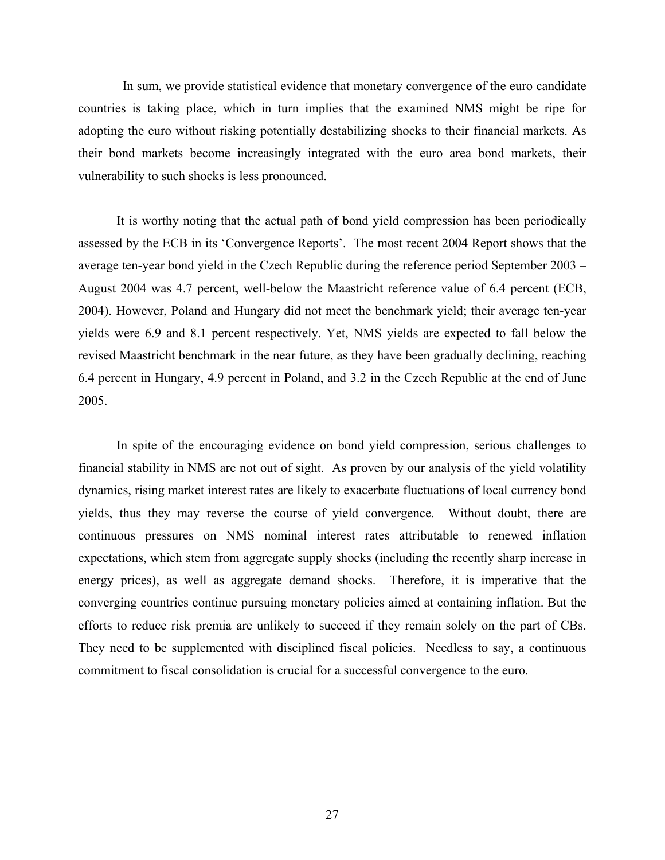In sum, we provide statistical evidence that monetary convergence of the euro candidate countries is taking place, which in turn implies that the examined NMS might be ripe for adopting the euro without risking potentially destabilizing shocks to their financial markets. As their bond markets become increasingly integrated with the euro area bond markets, their vulnerability to such shocks is less pronounced.

 It is worthy noting that the actual path of bond yield compression has been periodically assessed by the ECB in its 'Convergence Reports'. The most recent 2004 Report shows that the average ten-year bond yield in the Czech Republic during the reference period September 2003 – August 2004 was 4.7 percent, well-below the Maastricht reference value of 6.4 percent (ECB, 2004). However, Poland and Hungary did not meet the benchmark yield; their average ten-year yields were 6.9 and 8.1 percent respectively. Yet, NMS yields are expected to fall below the revised Maastricht benchmark in the near future, as they have been gradually declining, reaching 6.4 percent in Hungary, 4.9 percent in Poland, and 3.2 in the Czech Republic at the end of June 2005.

 In spite of the encouraging evidence on bond yield compression, serious challenges to financial stability in NMS are not out of sight. As proven by our analysis of the yield volatility dynamics, rising market interest rates are likely to exacerbate fluctuations of local currency bond yields, thus they may reverse the course of yield convergence. Without doubt, there are continuous pressures on NMS nominal interest rates attributable to renewed inflation expectations, which stem from aggregate supply shocks (including the recently sharp increase in energy prices), as well as aggregate demand shocks. Therefore, it is imperative that the converging countries continue pursuing monetary policies aimed at containing inflation. But the efforts to reduce risk premia are unlikely to succeed if they remain solely on the part of CBs. They need to be supplemented with disciplined fiscal policies. Needless to say, a continuous commitment to fiscal consolidation is crucial for a successful convergence to the euro.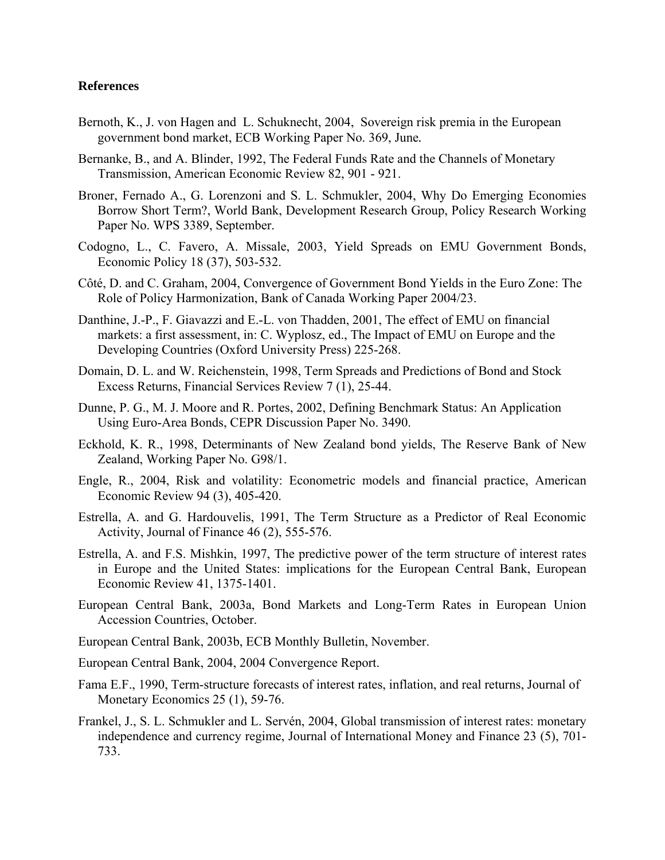## **References**

- Bernoth, K., J. von Hagen and L. Schuknecht, 2004, Sovereign risk premia in the European government bond market, ECB Working Paper No. 369, June*.*
- Bernanke, B., and A. Blinder, 1992, The Federal Funds Rate and the Channels of Monetary Transmission, American Economic Review 82, 901 - 921.
- Broner, Fernado A., G. Lorenzoni and S. L. Schmukler, 2004, Why Do Emerging Economies Borrow Short Term?, World Bank, Development Research Group, Policy Research Working Paper No. WPS 3389, September.
- Codogno, L., C. Favero, A. Missale, 2003, Yield Spreads on EMU Government Bonds, Economic Policy 18 (37), 503-532.
- Côté, D. and C. Graham, 2004, Convergence of Government Bond Yields in the Euro Zone: The Role of Policy Harmonization, Bank of Canada Working Paper 2004/23.
- Danthine, J.-P., F. Giavazzi and E.-L. von Thadden, 2001, The effect of EMU on financial markets: a first assessment, in: C. Wyplosz, ed., The Impact of EMU on Europe and the Developing Countries (Oxford University Press) 225-268.
- Domain, D. L. and W. Reichenstein, 1998, Term Spreads and Predictions of Bond and Stock Excess Returns, Financial Services Review 7 (1), 25-44.
- Dunne, P. G., M. J. Moore and R. Portes, 2002, Defining Benchmark Status: An Application Using Euro-Area Bonds, CEPR Discussion Paper No. 3490.
- Eckhold, K. R., 1998, Determinants of New Zealand bond yields, The Reserve Bank of New Zealand, Working Paper No. G98/1.
- Engle, R., 2004, Risk and volatility: Econometric models and financial practice, American Economic Review 94 (3), 405-420.
- Estrella, A. and G. Hardouvelis, 1991, The Term Structure as a Predictor of Real Economic Activity, Journal of Finance 46 (2), 555-576.
- Estrella, A. and F.S. Mishkin, 1997, The predictive power of the term structure of interest rates in Europe and the United States: implications for the European Central Bank, European Economic Review 41, 1375-1401.
- European Central Bank, 2003a, Bond Markets and Long-Term Rates in European Union Accession Countries, October.
- European Central Bank, 2003b, ECB Monthly Bulletin, November.
- European Central Bank, 2004, 2004 Convergence Report.
- Fama E.F., 1990, Term-structure forecasts of interest rates, inflation, and real returns, Journal of Monetary Economics 25 (1), 59-76.
- Frankel, J., S. L. Schmukler and L. Servén, 2004, Global transmission of interest rates: monetary independence and currency regime, Journal of International Money and Finance 23 (5), 701- 733.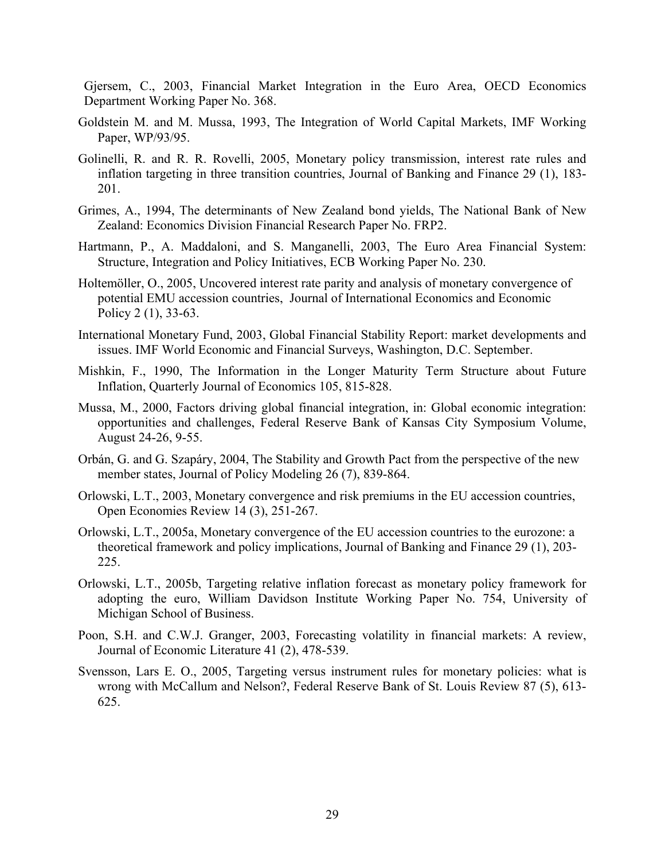Gjersem, C., 2003, Financial Market Integration in the Euro Area, OECD Economics Department Working Paper No. 368.

- Goldstein M. and M. Mussa, 1993, The Integration of World Capital Markets, IMF Working Paper, WP/93/95.
- Golinelli, R. and R. R. Rovelli, 2005, Monetary policy transmission, interest rate rules and inflation targeting in three transition countries, Journal of Banking and Finance 29 (1), 183- 201.
- Grimes, A., 1994, The determinants of New Zealand bond yields, The National Bank of New Zealand: Economics Division Financial Research Paper No. FRP2.
- Hartmann, P., A. Maddaloni, and S. Manganelli, 2003, The Euro Area Financial System: Structure, Integration and Policy Initiatives, ECB Working Paper No. 230.
- Holtemöller, O., 2005, Uncovered interest rate parity and analysis of monetary convergence of potential EMU accession countries, Journal of International Economics and Economic Policy 2 (1), 33-63.
- International Monetary Fund, 2003, Global Financial Stability Report: market developments and issues. IMF World Economic and Financial Surveys, Washington, D.C. September.
- Mishkin, F., 1990, The Information in the Longer Maturity Term Structure about Future Inflation, Quarterly Journal of Economics 105, 815-828.
- Mussa, M., 2000, Factors driving global financial integration, in: Global economic integration: opportunities and challenges, Federal Reserve Bank of Kansas City Symposium Volume, August 24-26, 9-55.
- Orbán, G. and G. Szapáry, 2004, The Stability and Growth Pact from the perspective of the new member states, Journal of Policy Modeling 26 (7), 839-864.
- Orlowski, L.T., 2003, Monetary convergence and risk premiums in the EU accession countries, Open Economies Review 14 (3), 251-267.
- Orlowski, L.T., 2005a, Monetary convergence of the EU accession countries to the eurozone: a theoretical framework and policy implications, Journal of Banking and Finance 29 (1), 203- 225.
- Orlowski, L.T., 2005b, Targeting relative inflation forecast as monetary policy framework for adopting the euro, William Davidson Institute Working Paper No. 754, University of Michigan School of Business.
- Poon, S.H. and C.W.J. Granger, 2003, Forecasting volatility in financial markets: A review, Journal of Economic Literature 41 (2), 478-539.
- Svensson, Lars E. O., 2005, Targeting versus instrument rules for monetary policies: what is wrong with McCallum and Nelson?, Federal Reserve Bank of St. Louis Review 87 (5), 613- 625.